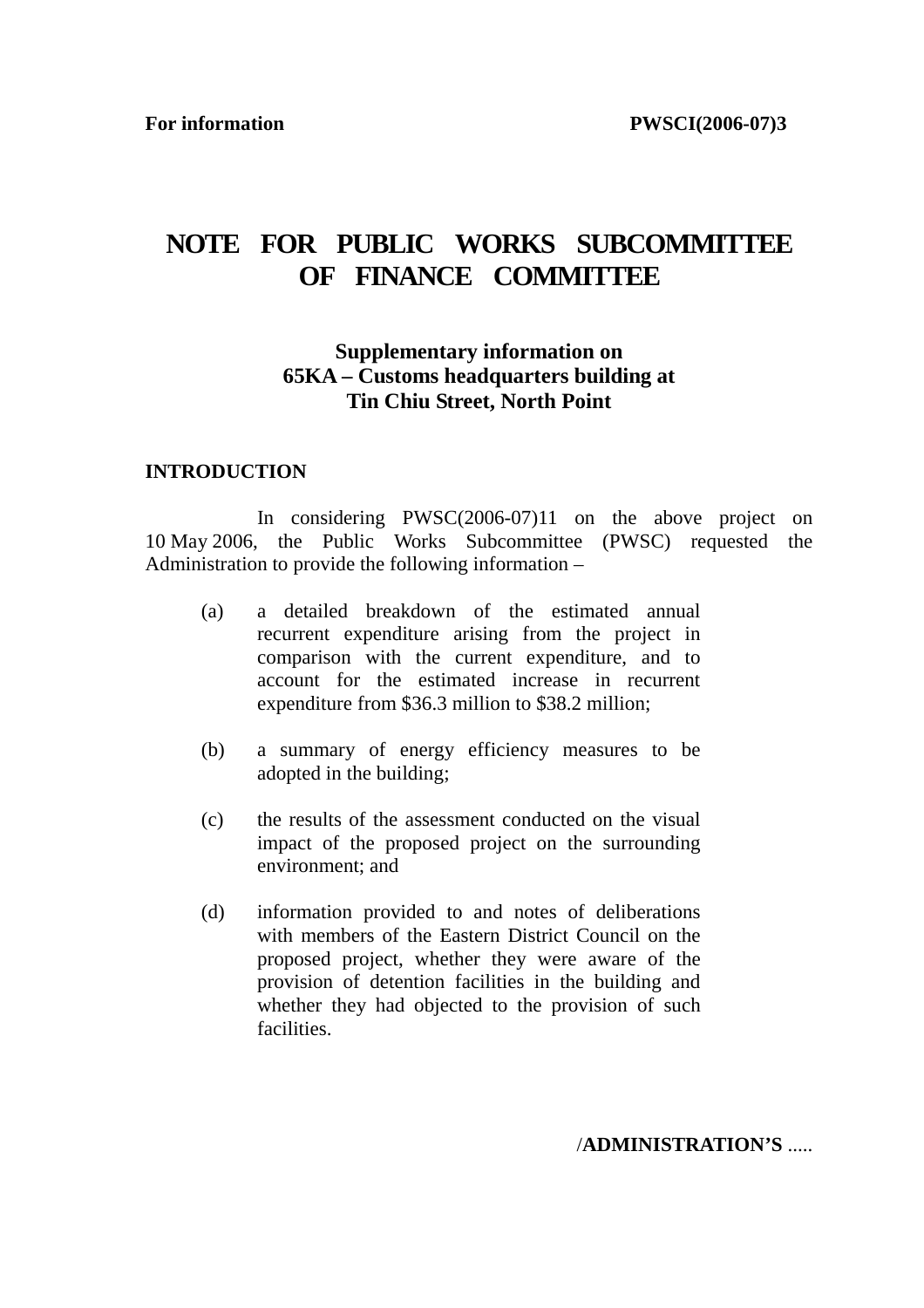## **NOTE FOR PUBLIC WORKS SUBCOMMITTEE OF FINANCE COMMITTEE**

### **Supplementary information on 65KA – Customs headquarters building at Tin Chiu Street, North Point**

#### **INTRODUCTION**

 In considering PWSC(2006-07)11 on the above project on 10 May 2006, the Public Works Subcommittee (PWSC) requested the Administration to provide the following information –

- (a) a detailed breakdown of the estimated annual recurrent expenditure arising from the project in comparison with the current expenditure, and to account for the estimated increase in recurrent expenditure from \$36.3 million to \$38.2 million;
- (b) a summary of energy efficiency measures to be adopted in the building;
- (c) the results of the assessment conducted on the visual impact of the proposed project on the surrounding environment; and
- (d) information provided to and notes of deliberations with members of the Eastern District Council on the proposed project, whether they were aware of the provision of detention facilities in the building and whether they had objected to the provision of such facilities.

/**ADMINISTRATION'S** .....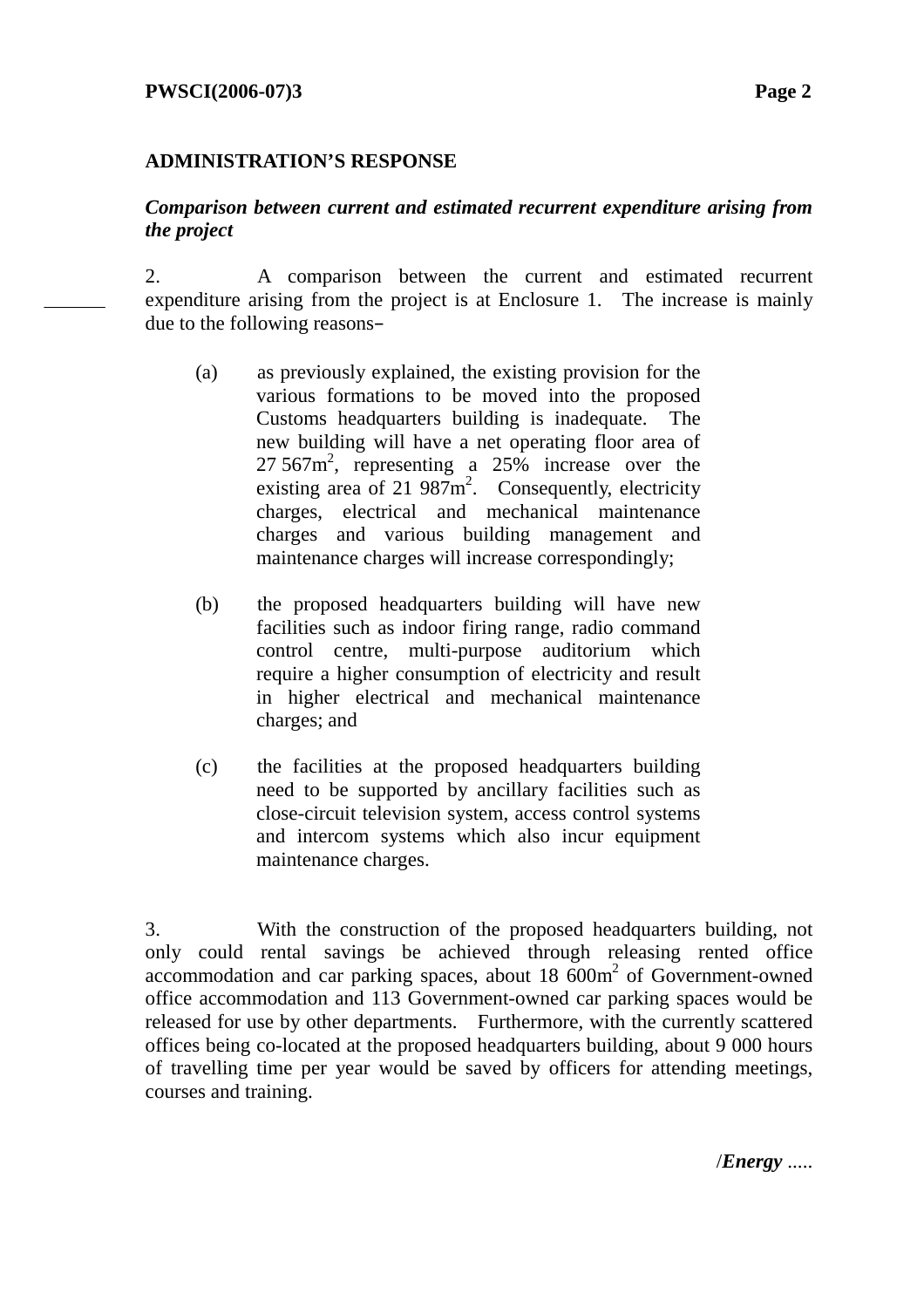### **ADMINISTRATION'S RESPONSE**

### *Comparison between current and estimated recurrent expenditure arising from the project*

2. A comparison between the current and estimated recurrent expenditure arising from the project is at Enclosure 1. The increase is mainly due to the following reasons–

- (a) as previously explained, the existing provision for the various formations to be moved into the proposed Customs headquarters building is inadequate. The new building will have a net operating floor area of  $27.567m^2$ , representing a  $25\%$  increase over the existing area of 21  $987\text{m}^2$ . Consequently, electricity charges, electrical and mechanical maintenance charges and various building management and maintenance charges will increase correspondingly;
- (b) the proposed headquarters building will have new facilities such as indoor firing range, radio command control centre, multi-purpose auditorium which require a higher consumption of electricity and result in higher electrical and mechanical maintenance charges; and
- (c) the facilities at the proposed headquarters building need to be supported by ancillary facilities such as close-circuit television system, access control systems and intercom systems which also incur equipment maintenance charges.

3. With the construction of the proposed headquarters building, not only could rental savings be achieved through releasing rented office accommodation and car parking spaces, about 18 600m<sup>2</sup> of Government-owned office accommodation and 113 Government-owned car parking spaces would be released for use by other departments. Furthermore, with the currently scattered offices being co-located at the proposed headquarters building, about 9 000 hours of travelling time per year would be saved by officers for attending meetings, courses and training.

/*Energy* .....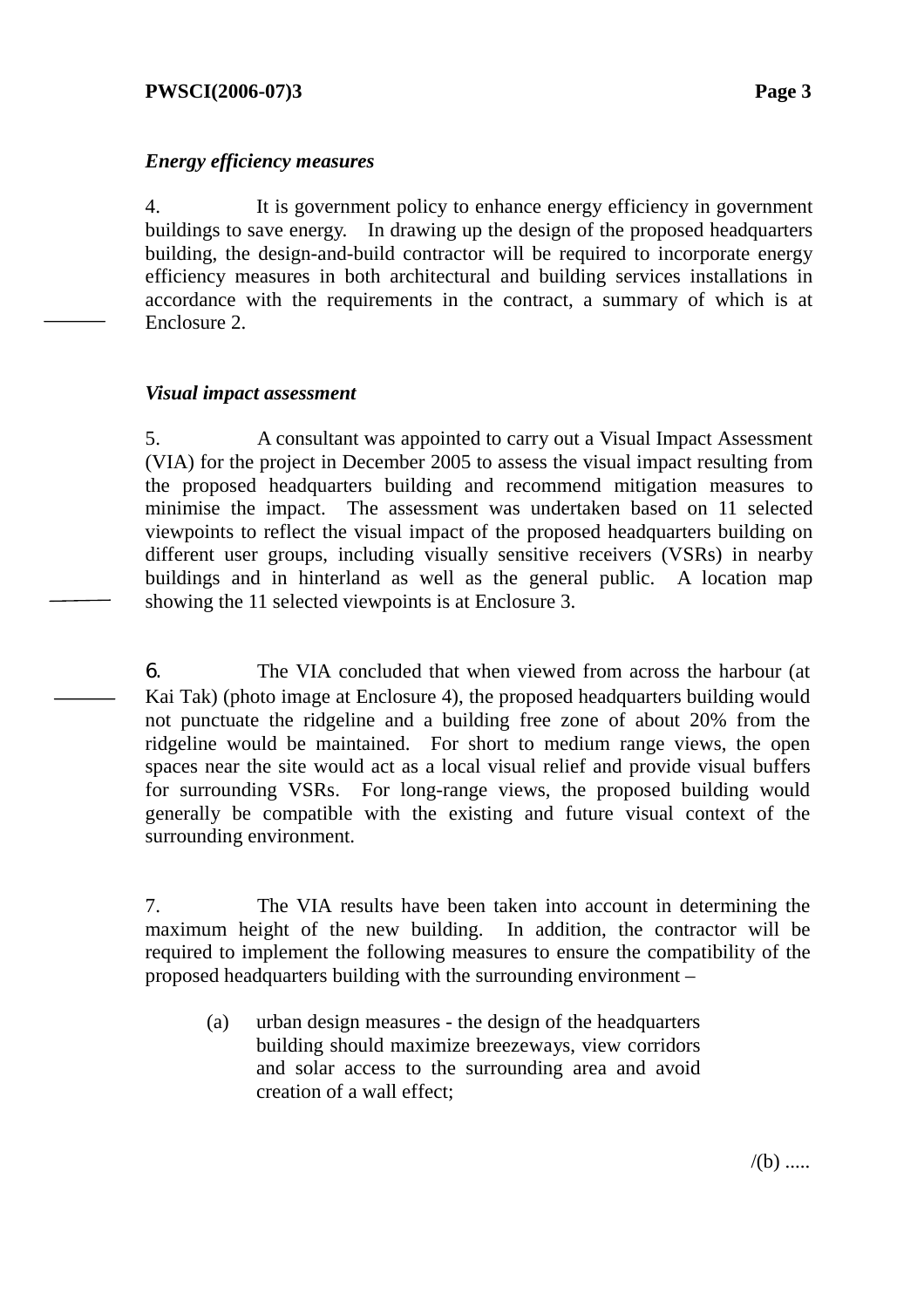### **PWSCI(2006-07)3 Page 3**

### *Energy efficiency measures*

4. It is government policy to enhance energy efficiency in government buildings to save energy. In drawing up the design of the proposed headquarters building, the design-and-build contractor will be required to incorporate energy efficiency measures in both architectural and building services installations in accordance with the requirements in the contract, a summary of which is at Enclosure 2.

#### *Visual impact assessment*

5. A consultant was appointed to carry out a Visual Impact Assessment (VIA) for the project in December 2005 to assess the visual impact resulting from the proposed headquarters building and recommend mitigation measures to minimise the impact. The assessment was undertaken based on 11 selected viewpoints to reflect the visual impact of the proposed headquarters building on different user groups, including visually sensitive receivers (VSRs) in nearby buildings and in hinterland as well as the general public. A location map showing the 11 selected viewpoints is at Enclosure 3.

6. The VIA concluded that when viewed from across the harbour (at Kai Tak) (photo image at Enclosure 4), the proposed headquarters building would not punctuate the ridgeline and a building free zone of about 20% from the ridgeline would be maintained. For short to medium range views, the open spaces near the site would act as a local visual relief and provide visual buffers for surrounding VSRs. For long-range views, the proposed building would generally be compatible with the existing and future visual context of the surrounding environment.

7. The VIA results have been taken into account in determining the maximum height of the new building. In addition, the contractor will be required to implement the following measures to ensure the compatibility of the proposed headquarters building with the surrounding environment –

(a) urban design measures - the design of the headquarters building should maximize breezeways, view corridors and solar access to the surrounding area and avoid creation of a wall effect;

 $/(b)$  .....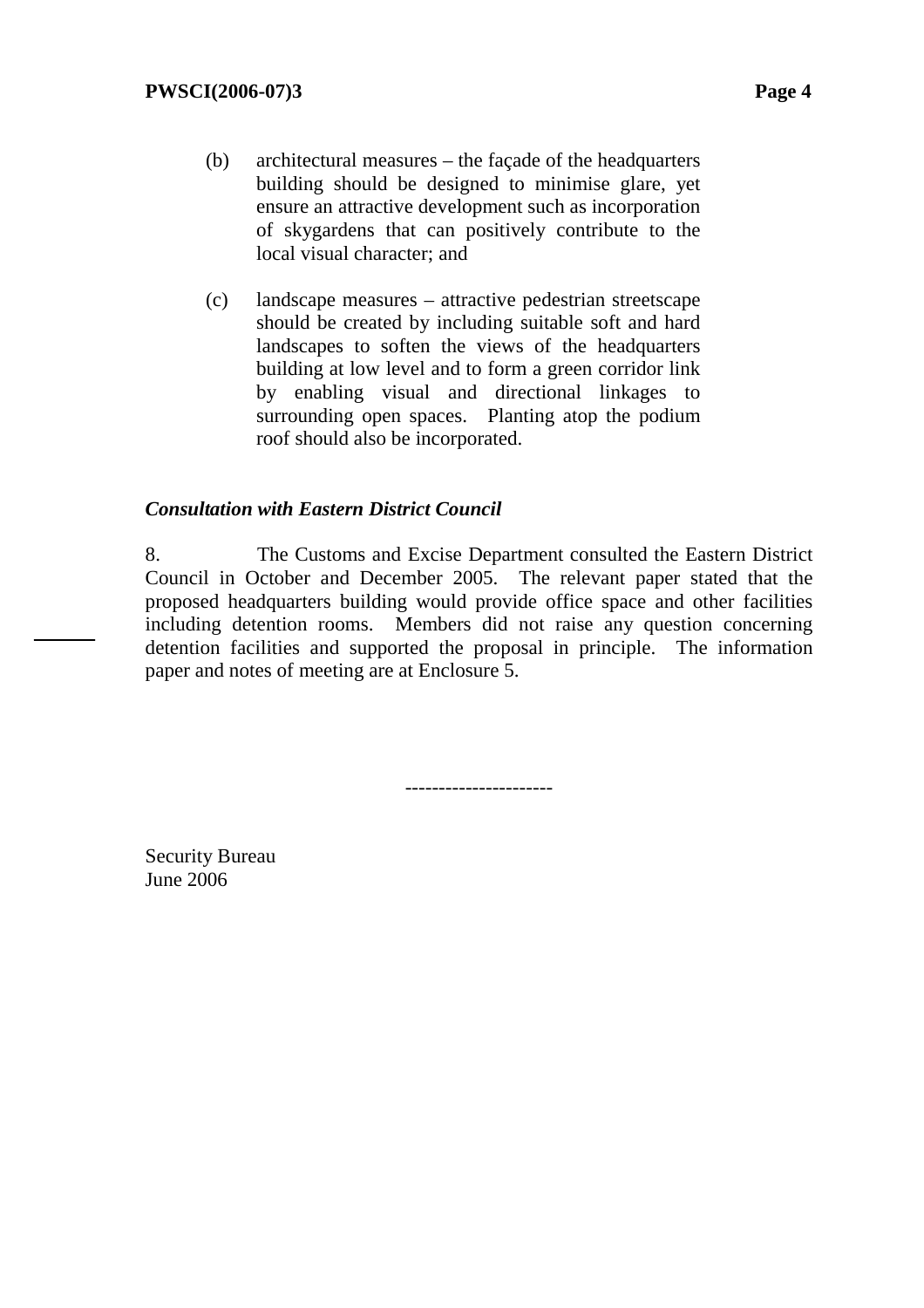- (b) architectural measures the façade of the headquarters building should be designed to minimise glare, yet ensure an attractive development such as incorporation of skygardens that can positively contribute to the local visual character; and
- (c) landscape measures attractive pedestrian streetscape should be created by including suitable soft and hard landscapes to soften the views of the headquarters building at low level and to form a green corridor link by enabling visual and directional linkages to surrounding open spaces. Planting atop the podium roof should also be incorporated.

#### *Consultation with Eastern District Council*

8. The Customs and Excise Department consulted the Eastern District Council in October and December 2005. The relevant paper stated that the proposed headquarters building would provide office space and other facilities including detention rooms. Members did not raise any question concerning detention facilities and supported the proposal in principle. The information paper and notes of meeting are at Enclosure 5.

----------------------

Security Bureau June 2006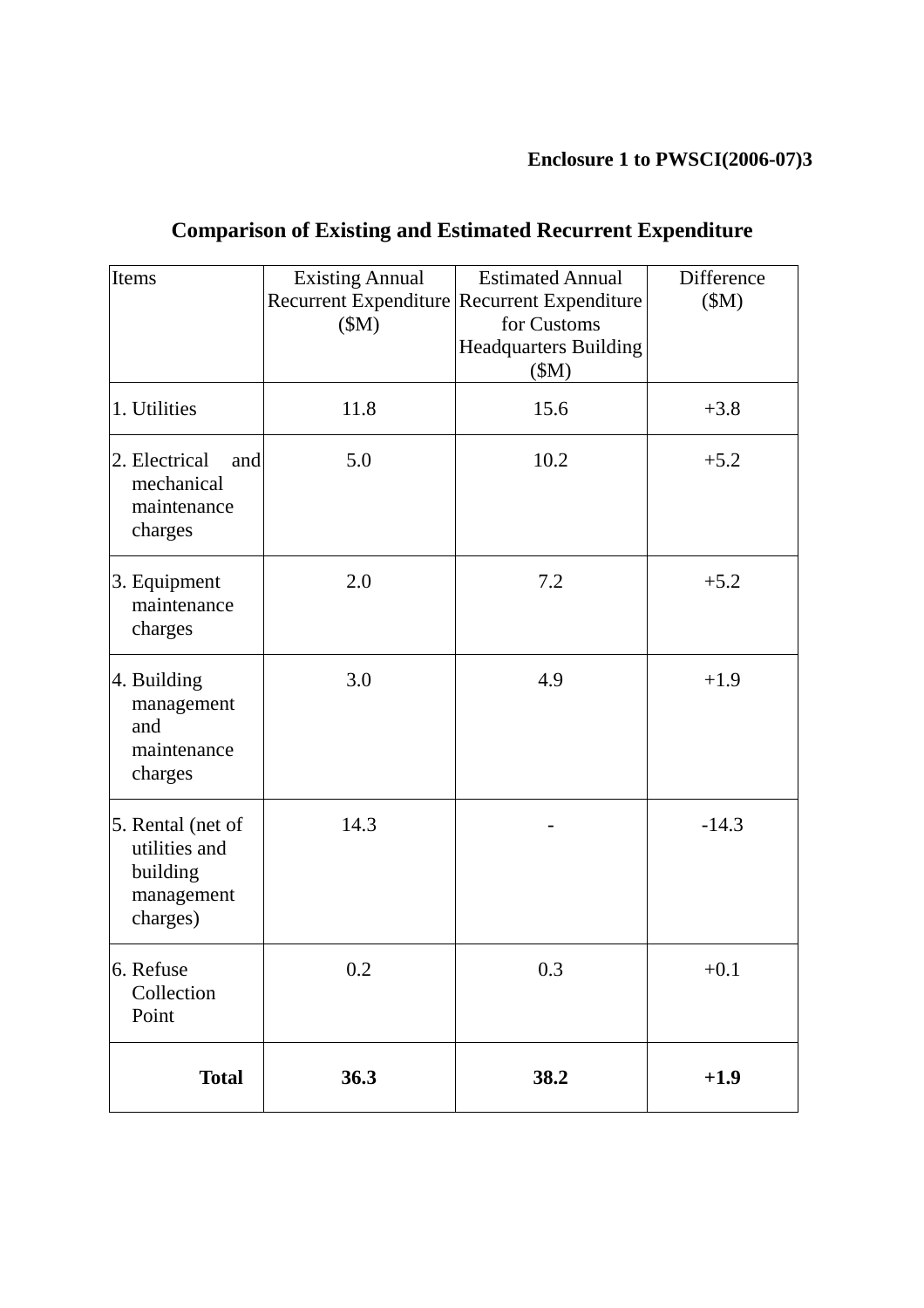## **Enclosure 1 to PWSCI(2006-07)3**

| Items                                                                    | <b>Existing Annual</b><br>Recurrent Expenditure Recurrent Expenditure<br>(SM) | <b>Estimated Annual</b><br>for Customs<br><b>Headquarters Building</b><br>(SM) | Difference<br>\$M\$ |
|--------------------------------------------------------------------------|-------------------------------------------------------------------------------|--------------------------------------------------------------------------------|---------------------|
| 1. Utilities                                                             | 11.8                                                                          | 15.6                                                                           | $+3.8$              |
| 2. Electrical<br>and<br>mechanical<br>maintenance<br>charges             | 5.0                                                                           | 10.2                                                                           | $+5.2$              |
| 3. Equipment<br>maintenance<br>charges                                   | 2.0                                                                           | 7.2                                                                            | $+5.2$              |
| 4. Building<br>management<br>and<br>maintenance<br>charges               | 3.0                                                                           | 4.9                                                                            | $+1.9$              |
| 5. Rental (net of<br>utilities and<br>building<br>management<br>charges) | 14.3                                                                          |                                                                                | $-14.3$             |
| 0.2<br>6. Refuse<br>Collection<br>Point                                  |                                                                               | 0.3                                                                            | $+0.1$              |
| <b>Total</b>                                                             | 36.3                                                                          | 38.2                                                                           | $+1.9$              |

# **Comparison of Existing and Estimated Recurrent Expenditure**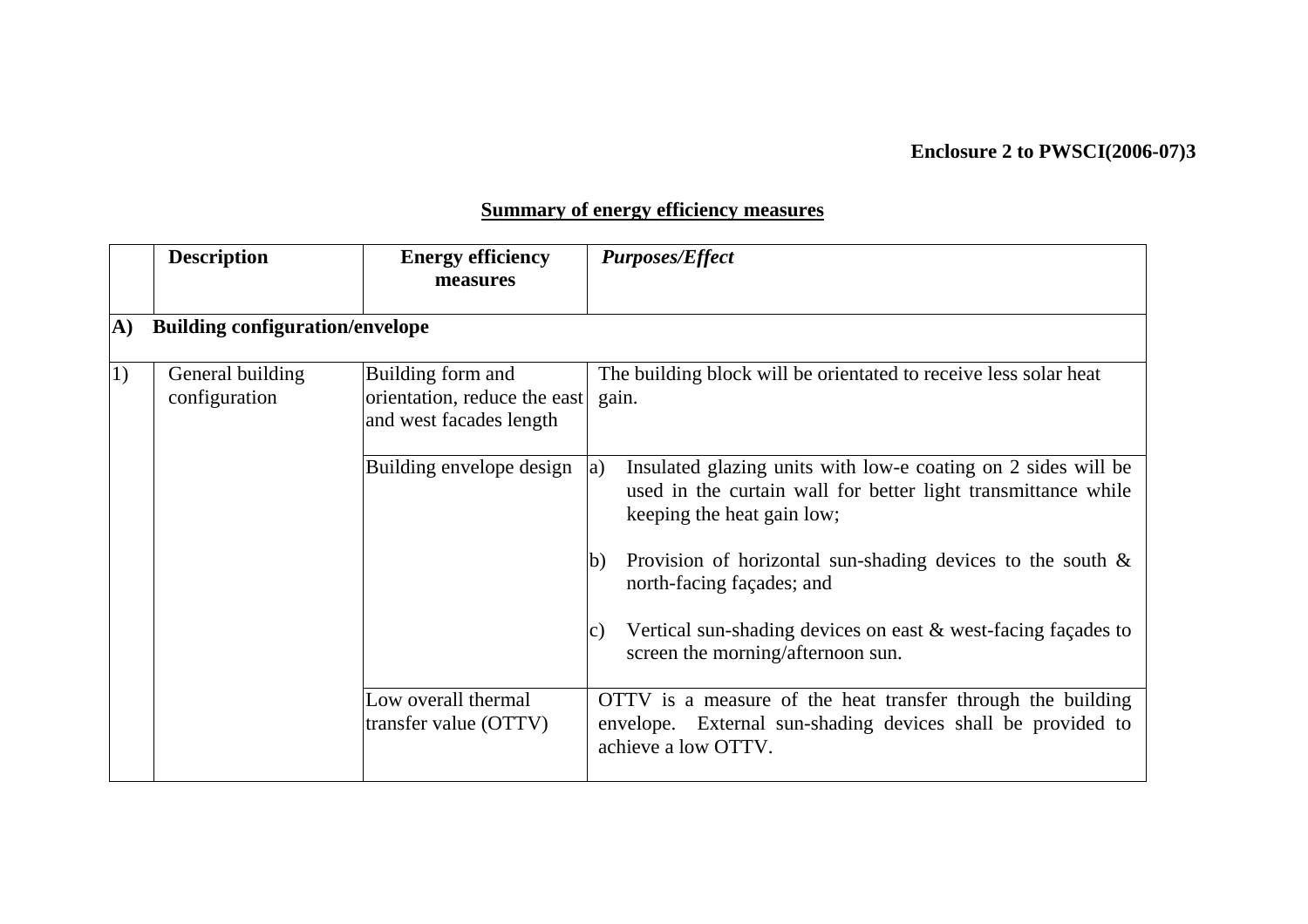## **Enclosure 2 to PWSCI(2006-07)3**

## **Summary of energy efficiency measures**

|                  | <b>Description</b>                     | <b>Energy efficiency</b><br>measures                                         | <b>Purposes/Effect</b> |                                                                                                                                                              |  |  |  |
|------------------|----------------------------------------|------------------------------------------------------------------------------|------------------------|--------------------------------------------------------------------------------------------------------------------------------------------------------------|--|--|--|
| A)               | <b>Building configuration/envelope</b> |                                                                              |                        |                                                                                                                                                              |  |  |  |
| $\left(1\right)$ | General building<br>configuration      | Building form and<br>orientation, reduce the east<br>and west facades length | gain.                  | The building block will be orientated to receive less solar heat                                                                                             |  |  |  |
|                  |                                        | Building envelope design                                                     | a)                     | Insulated glazing units with low-e coating on 2 sides will be<br>used in the curtain wall for better light transmittance while<br>keeping the heat gain low; |  |  |  |
|                  |                                        |                                                                              | b)                     | Provision of horizontal sun-shading devices to the south $\&$<br>north-facing façades; and                                                                   |  |  |  |
|                  |                                        |                                                                              | c)                     | Vertical sun-shading devices on east $\&$ west-facing façades to<br>screen the morning/afternoon sun.                                                        |  |  |  |
|                  |                                        | Low overall thermal<br>transfer value (OTTV)                                 |                        | OTTV is a measure of the heat transfer through the building<br>envelope. External sun-shading devices shall be provided to<br>achieve a low OTTV.            |  |  |  |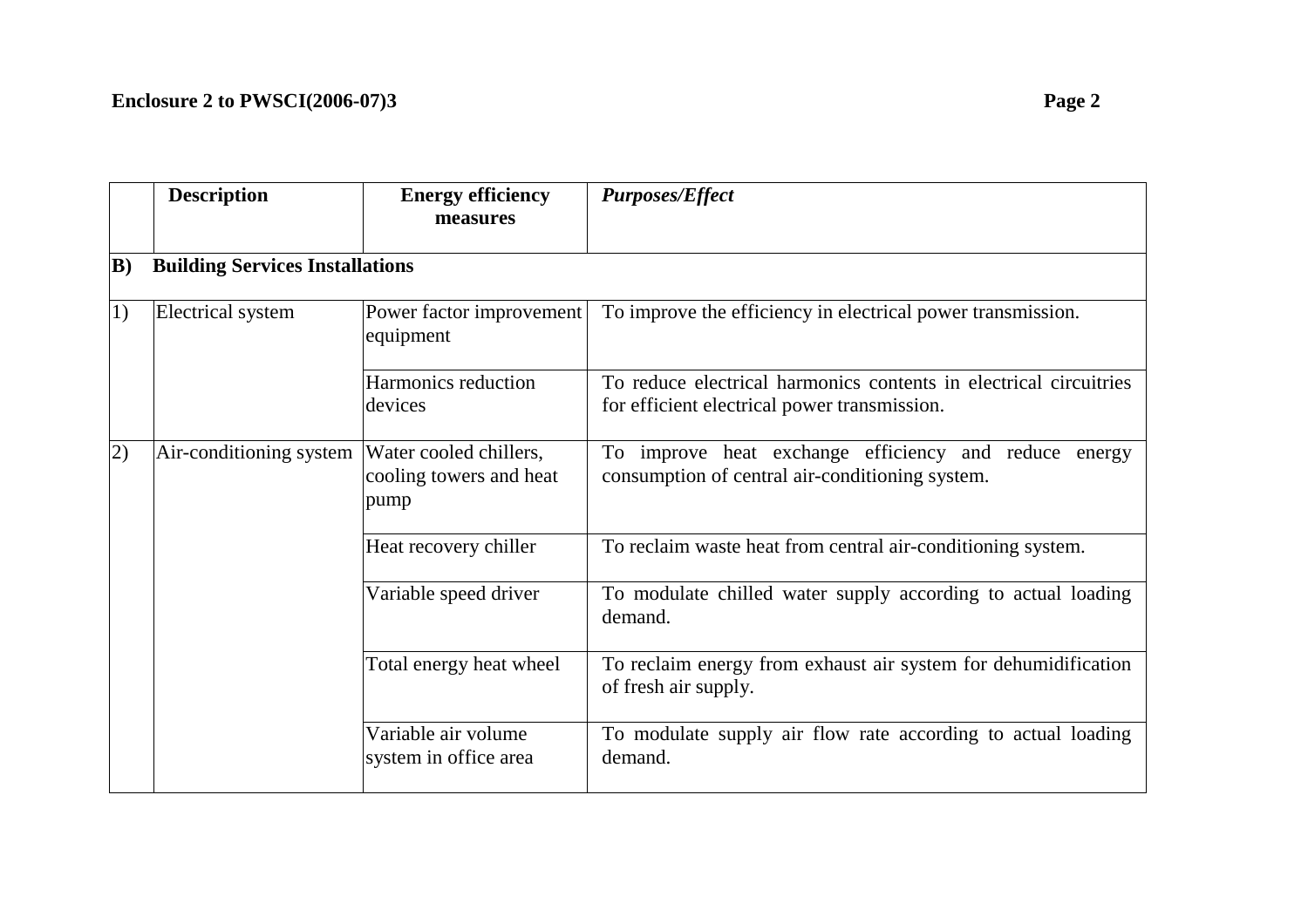|     | <b>Description</b>                     | <b>Energy efficiency</b><br>measures                      | <b>Purposes/Effect</b>                                                                                            |
|-----|----------------------------------------|-----------------------------------------------------------|-------------------------------------------------------------------------------------------------------------------|
| B)  | <b>Building Services Installations</b> |                                                           |                                                                                                                   |
| 1)  | <b>Electrical system</b>               | Power factor improvement<br>equipment                     | To improve the efficiency in electrical power transmission.                                                       |
|     |                                        | Harmonics reduction<br>devices                            | To reduce electrical harmonics contents in electrical circuitries<br>for efficient electrical power transmission. |
| (2) | Air-conditioning system                | Water cooled chillers,<br>cooling towers and heat<br>pump | To improve heat exchange efficiency and reduce energy<br>consumption of central air-conditioning system.          |
|     |                                        | Heat recovery chiller                                     | To reclaim waste heat from central air-conditioning system.                                                       |
|     |                                        | Variable speed driver                                     | To modulate chilled water supply according to actual loading<br>demand.                                           |
|     |                                        | Total energy heat wheel                                   | To reclaim energy from exhaust air system for dehumidification<br>of fresh air supply.                            |
|     |                                        | Variable air volume<br>system in office area              | To modulate supply air flow rate according to actual loading<br>demand.                                           |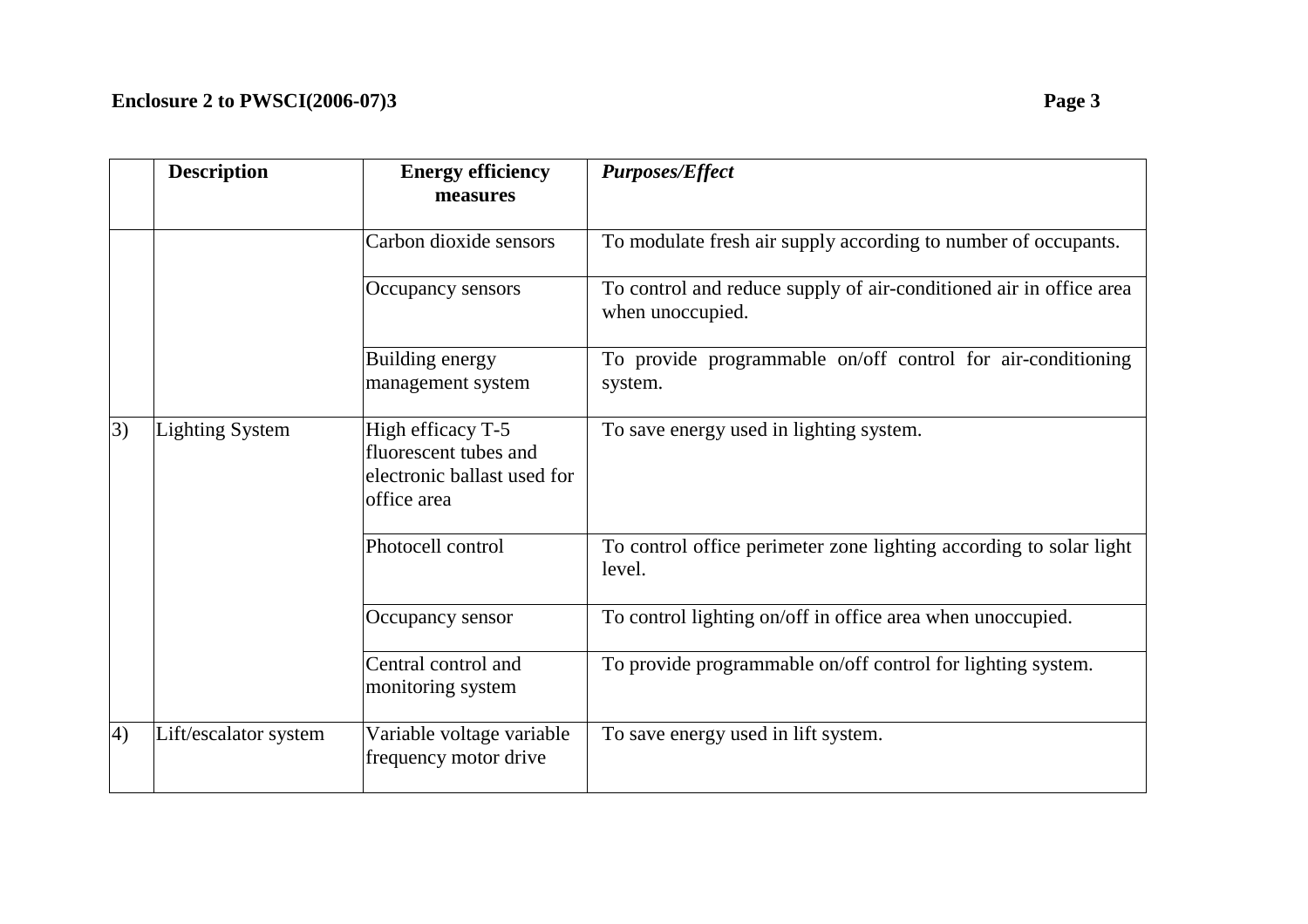|    | <b>Description</b>     | <b>Energy efficiency</b><br>measures                                                     | <b>Purposes/Effect</b>                                                                 |
|----|------------------------|------------------------------------------------------------------------------------------|----------------------------------------------------------------------------------------|
|    |                        | Carbon dioxide sensors                                                                   | To modulate fresh air supply according to number of occupants.                         |
|    |                        | Occupancy sensors                                                                        | To control and reduce supply of air-conditioned air in office area<br>when unoccupied. |
|    |                        | Building energy<br>management system                                                     | To provide programmable on/off control for air-conditioning<br>system.                 |
| 3) | <b>Lighting System</b> | High efficacy T-5<br>fluorescent tubes and<br>electronic ballast used for<br>office area | To save energy used in lighting system.                                                |
|    |                        | Photocell control                                                                        | To control office perimeter zone lighting according to solar light<br>level.           |
|    |                        | Occupancy sensor                                                                         | To control lighting on/off in office area when unoccupied.                             |
|    |                        | Central control and<br>monitoring system                                                 | To provide programmable on/off control for lighting system.                            |
| 4) | Lift/escalator system  | Variable voltage variable<br>frequency motor drive                                       | To save energy used in lift system.                                                    |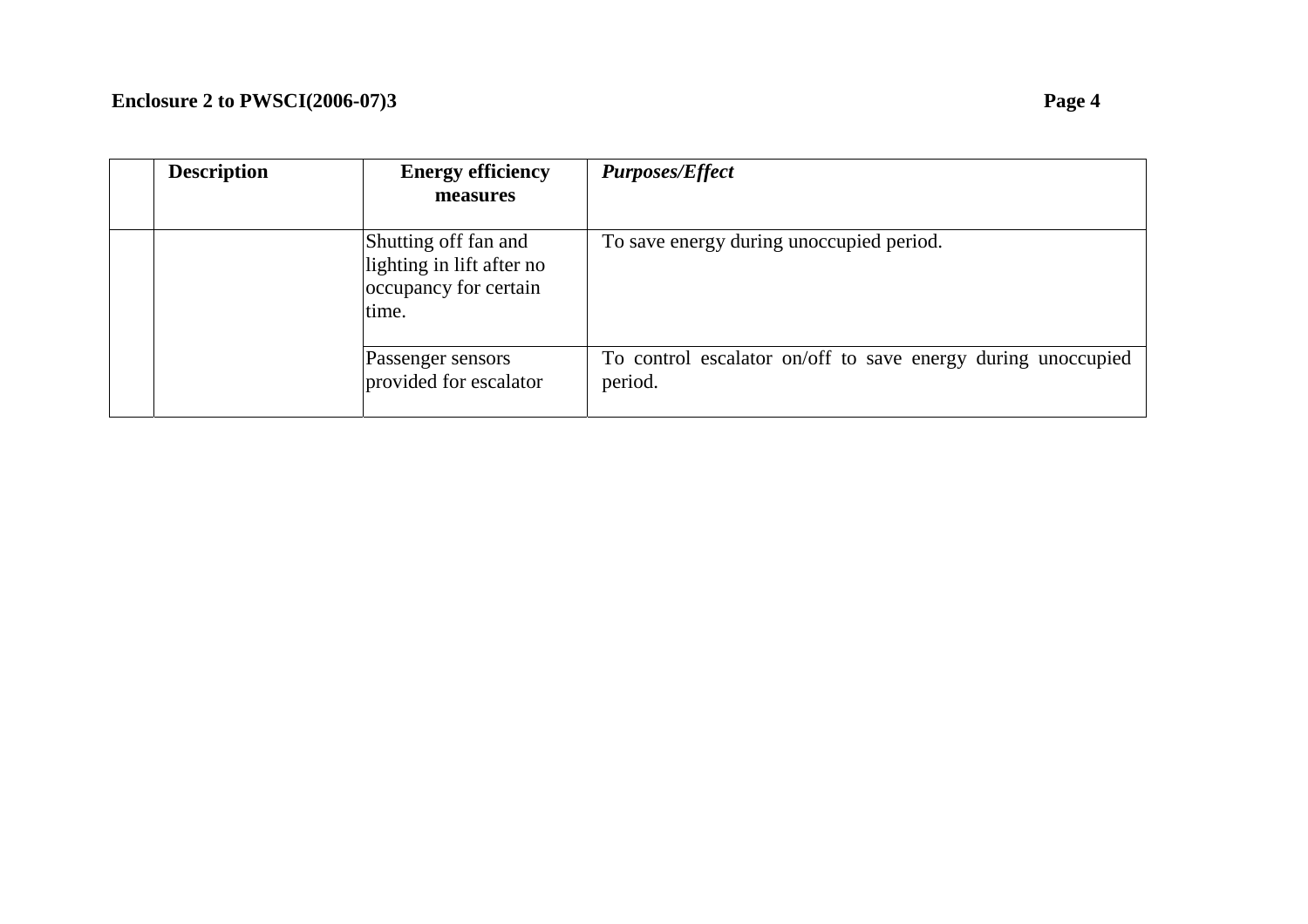| <b>Description</b> | <b>Energy efficiency</b><br>measures                                                | <b>Purposes/Effect</b>                                                  |
|--------------------|-------------------------------------------------------------------------------------|-------------------------------------------------------------------------|
|                    | Shutting off fan and<br>lighting in lift after no<br>occupancy for certain<br>time. | To save energy during unoccupied period.                                |
|                    | Passenger sensors<br>provided for escalator                                         | To control escalator on/off to save energy during unoccupied<br>period. |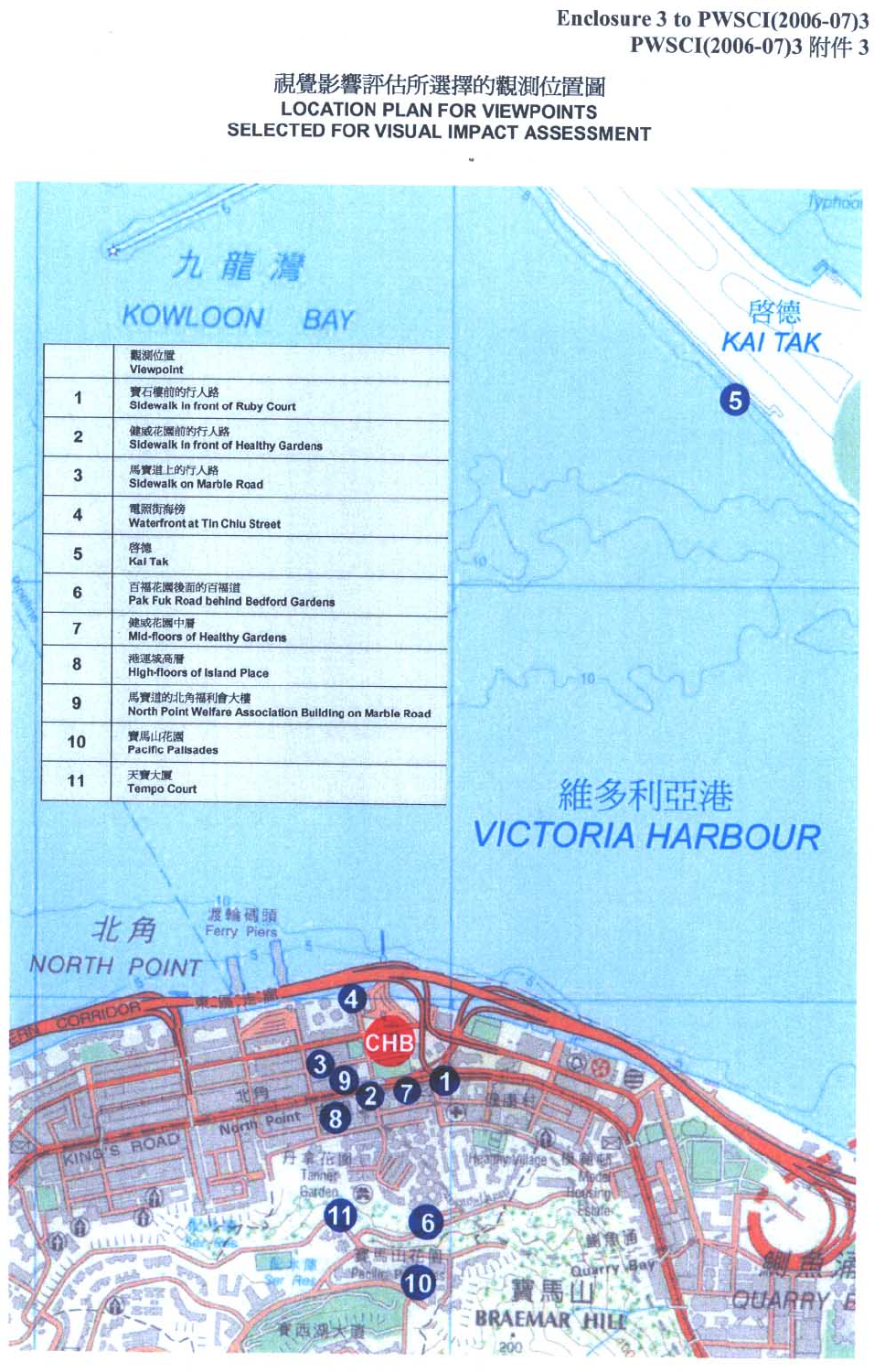### Enclosure 3 to PWSCI(2006-07)3 PWSCI(2006-07)3 附件 3

Typhool

啓德 **KAI TAK** 

OUARR

 $\boldsymbol{6}$ 

#### 視覺影響評估所選擇的觀測位置圖 **LOCATION PLAN FOR VIEWPOINTS** SELECTED FOR VISUAL IMPACT ASSESSMENT

|                | ŵ<br>九龍灣                                                               |
|----------------|------------------------------------------------------------------------|
|                | <b>KOWLOON BAY</b>                                                     |
|                | 觀測位置<br><b>Viewpoint</b>                                               |
| 1              | 寶石樓前的行人路<br>Sidewalk in front of Ruby Court                            |
| $\overline{2}$ | 健威花園前的行人路<br><b>Sidewalk in front of Healthy Gardens</b>               |
| 3              | 馬寶道上的行人路<br>Sidewalk on Marble Road                                    |
| 4              | 電照街海傍<br><b>Waterfront at Tin Chiu Street</b>                          |
| 5              | 啓德<br><b>Kai Tak</b>                                                   |
| 6              | 百福花園後面的百福道<br><b>Pak Fuk Road behind Bedford Gardens</b>               |
| 7              | 健威花園中層<br><b>Mid-floors of Healthy Gardens</b>                         |
| 8              | 港運城高層<br><b>High-floors of Island Place</b>                            |
| 9              | 馬寶道的北角福利會大樓<br>North Point Welfare Association Building on Marble Road |
| 10             | 寶馬山花園<br><b>Pacific Pallsades</b>                                      |
| 11             | 天寶大厦<br><b>Tempo Court</b>                                             |



10

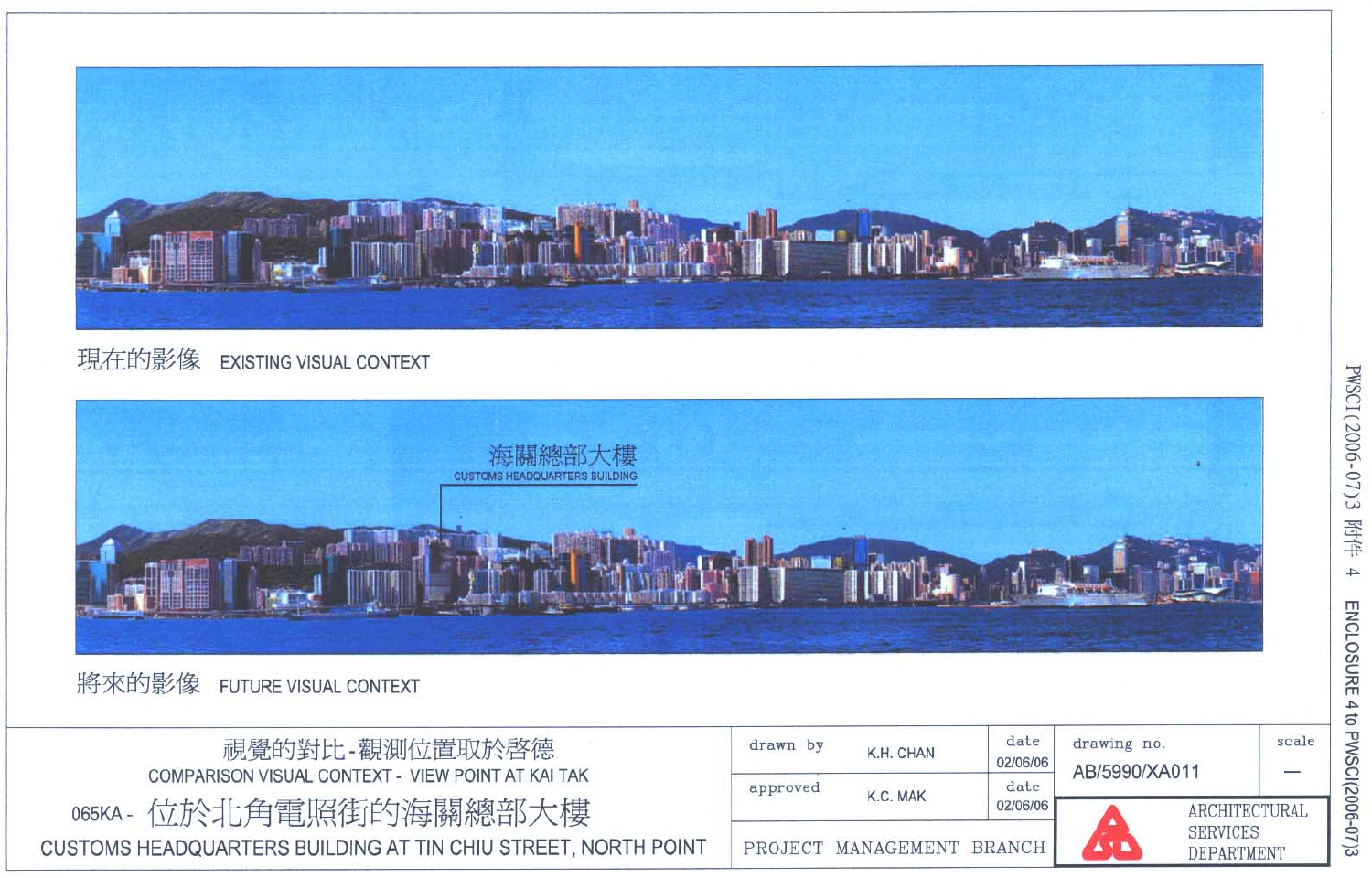

#### 現在的影像 EXISTING VISUAL CONTEXT



將來的影像 FUTURE VISUAL CONTEXT

| 視覺的對比-觀測位置取於啓德                                                                          |                                         | K.H. CHAN | date<br>02/06/06 | drawing no.<br>AB/5990/XA011                   | scale<br>- |
|-----------------------------------------------------------------------------------------|-----------------------------------------|-----------|------------------|------------------------------------------------|------------|
| COMPARISON VISUAL CONTEXT - VIEW POINT AT KAI TAK                                       | approved                                | K.C. MAK  | date<br>02/06/06 |                                                |            |
| 065KA - 位於北角電照街的海關總部大樓<br>CUSTOMS HEADQUARTERS BUILDING AT TIN CHIU STREET, NORTH POINT | <b>AIN</b><br>PROJECT MANAGEMENT BRANCH |           |                  | <b>ARCHITECTURAL</b><br>SERVICES<br>DEPARTMENT |            |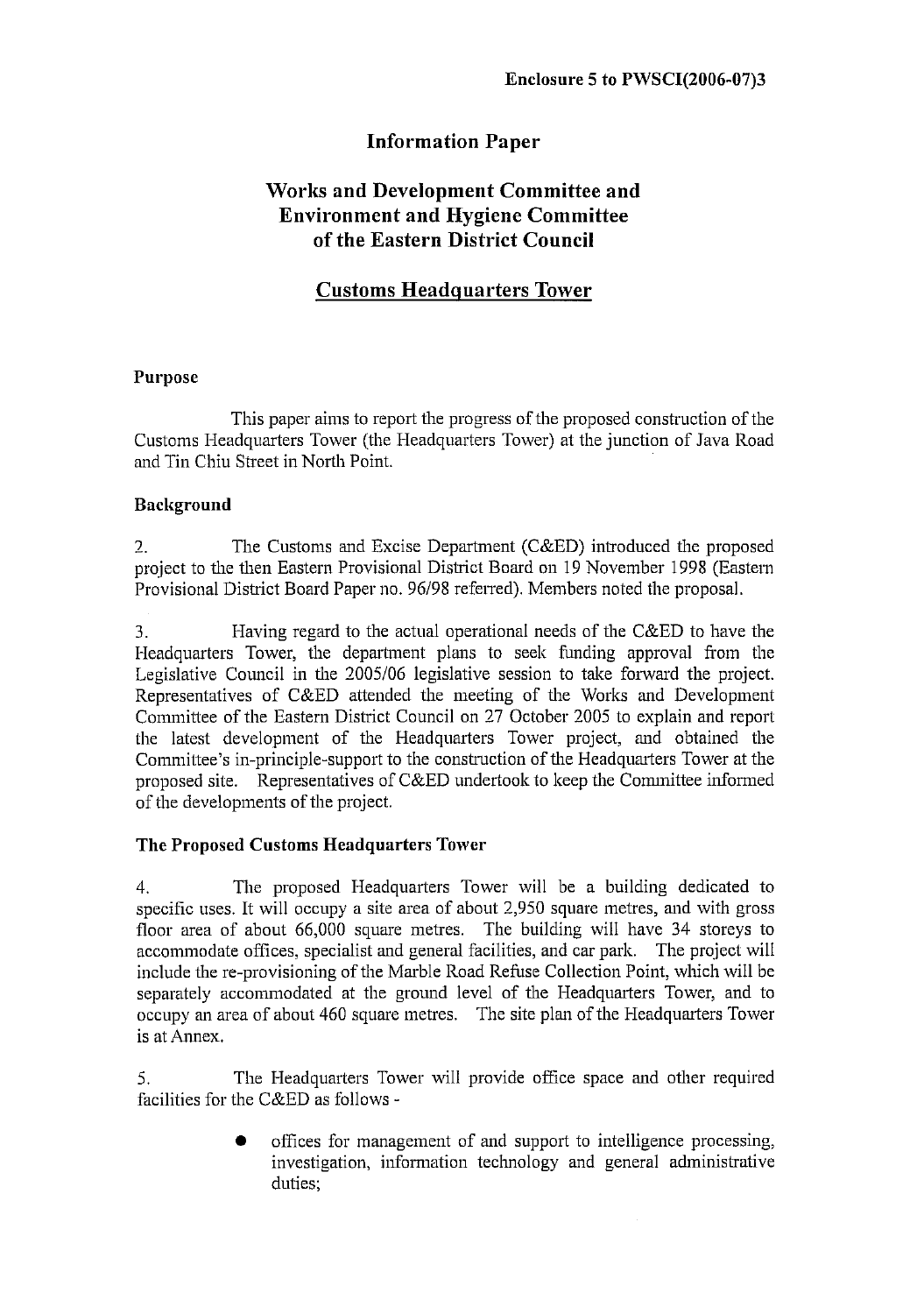## **Information Paper**

## **Works and Development Committee and Environment and Hygiene Committee** of the Eastern District Council

## **Customs Headquarters Tower**

#### **Purpose**

This paper aims to report the progress of the proposed construction of the Customs Headquarters Tower (the Headquarters Tower) at the junction of Java Road and Tin Chiu Street in North Point.

### **Background**

The Customs and Excise Department (C&ED) introduced the proposed  $2.$ project to the then Eastern Provisional District Board on 19 November 1998 (Eastern Provisional District Board Paper no. 96/98 referred). Members noted the proposal.

Having regard to the actual operational needs of the C&ED to have the 3. Headquarters Tower, the department plans to seek funding approval from the Legislative Council in the 2005/06 legislative session to take forward the project. Representatives of C&ED attended the meeting of the Works and Development Committee of the Eastern District Council on 27 October 2005 to explain and report the latest development of the Headquarters Tower project, and obtained the Committee's in-principle-support to the construction of the Headquarters Tower at the proposed site. Representatives of C&ED undertook to keep the Committee informed of the developments of the project.

### The Proposed Customs Headquarters Tower

The proposed Headquarters Tower will be a building dedicated to  $4.$ specific uses. It will occupy a site area of about 2,950 square metres, and with gross floor area of about 66,000 square metres. The building will have 34 storeys to accommodate offices, specialist and general facilities, and car park. The project will include the re-provisioning of the Marble Road Refuse Collection Point, which will be separately accommodated at the ground level of the Headquarters Tower, and to occupy an area of about 460 square metres. The site plan of the Headquarters Tower is at Annex.

The Headquarters Tower will provide office space and other required 5. facilities for the C&ED as follows -

> offices for management of and support to intelligence processing, investigation, information technology and general administrative duties: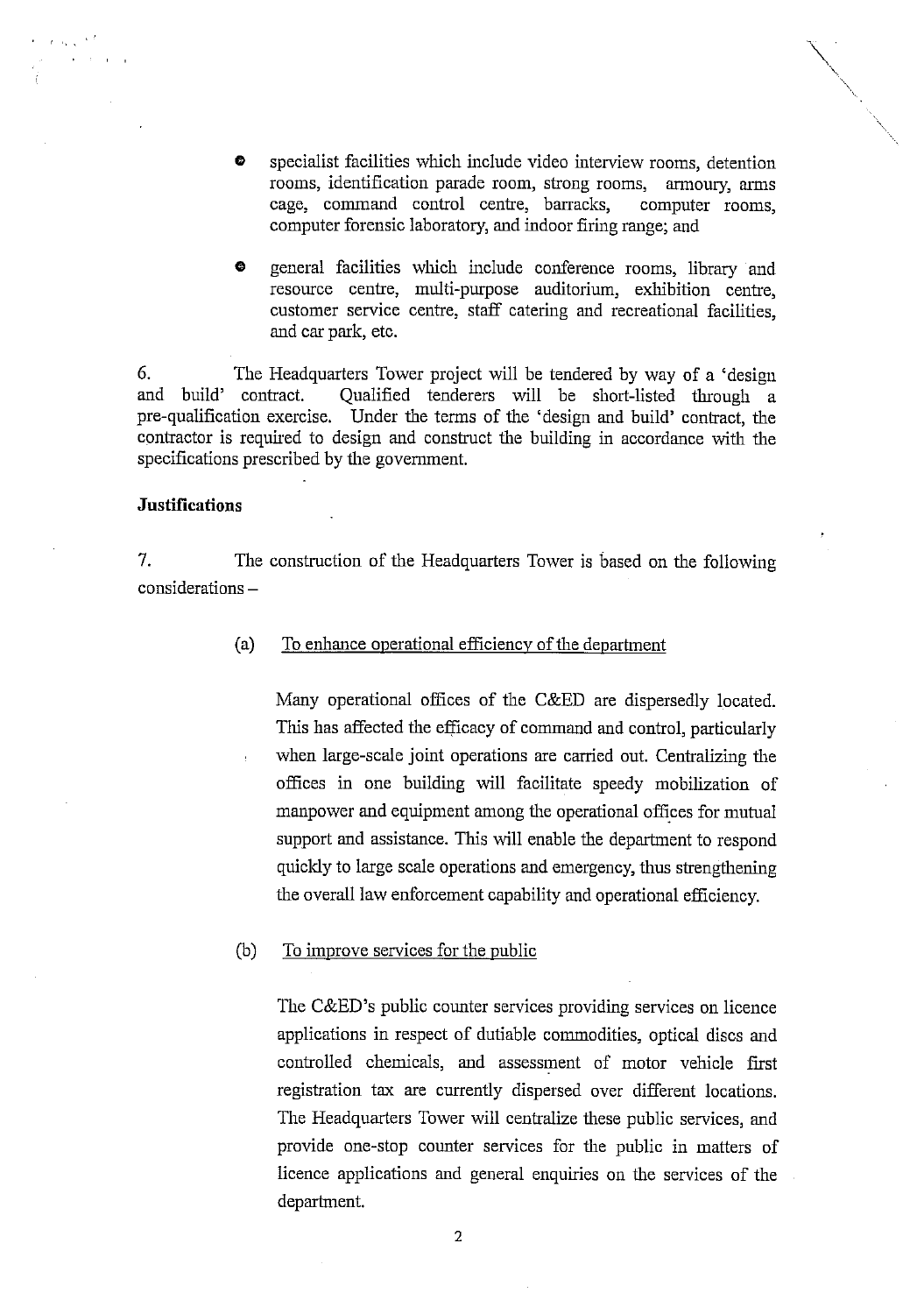- specialist facilities which include video interview rooms, detention  $\bullet$ rooms, identification parade room, strong rooms, armoury, arms cage, command control centre, barracks, computer rooms. computer forensic laboratory, and indoor firing range; and
- general facilities which include conference rooms, library and  $\bullet$ resource centre, multi-purpose auditorium, exhibition centre, customer service centre, staff catering and recreational facilities. and car park, etc.

6. The Headquarters Tower project will be tendered by way of a 'design and build' contract. Qualified tenderers will be short-listed through a pre-qualification exercise. Under the terms of the 'design and build' contract, the contractor is required to design and construct the building in accordance with the specifications prescribed by the government.

#### **Justifications**

 $\epsilon \propto \sqrt{\lambda}^{-3}$ 

7. The construction of the Headquarters Tower is based on the following  $considerations -$ 

> To enhance operational efficiency of the department  $(a)$

Many operational offices of the C&ED are dispersedly located. This has affected the efficacy of command and control, particularly when large-scale joint operations are carried out. Centralizing the offices in one building will facilitate speedy mobilization of manpower and equipment among the operational offices for mutual support and assistance. This will enable the department to respond quickly to large scale operations and emergency, thus strengthening the overall law enforcement capability and operational efficiency.

To improve services for the public  $(b)$ 

> The C&ED's public counter services providing services on licence applications in respect of dutiable commodities, optical discs and controlled chemicals, and assessment of motor vehicle first registration tax are currently dispersed over different locations. The Headquarters Tower will centralize these public services, and provide one-stop counter services for the public in matters of licence applications and general enquiries on the services of the department.

> > $\overline{2}$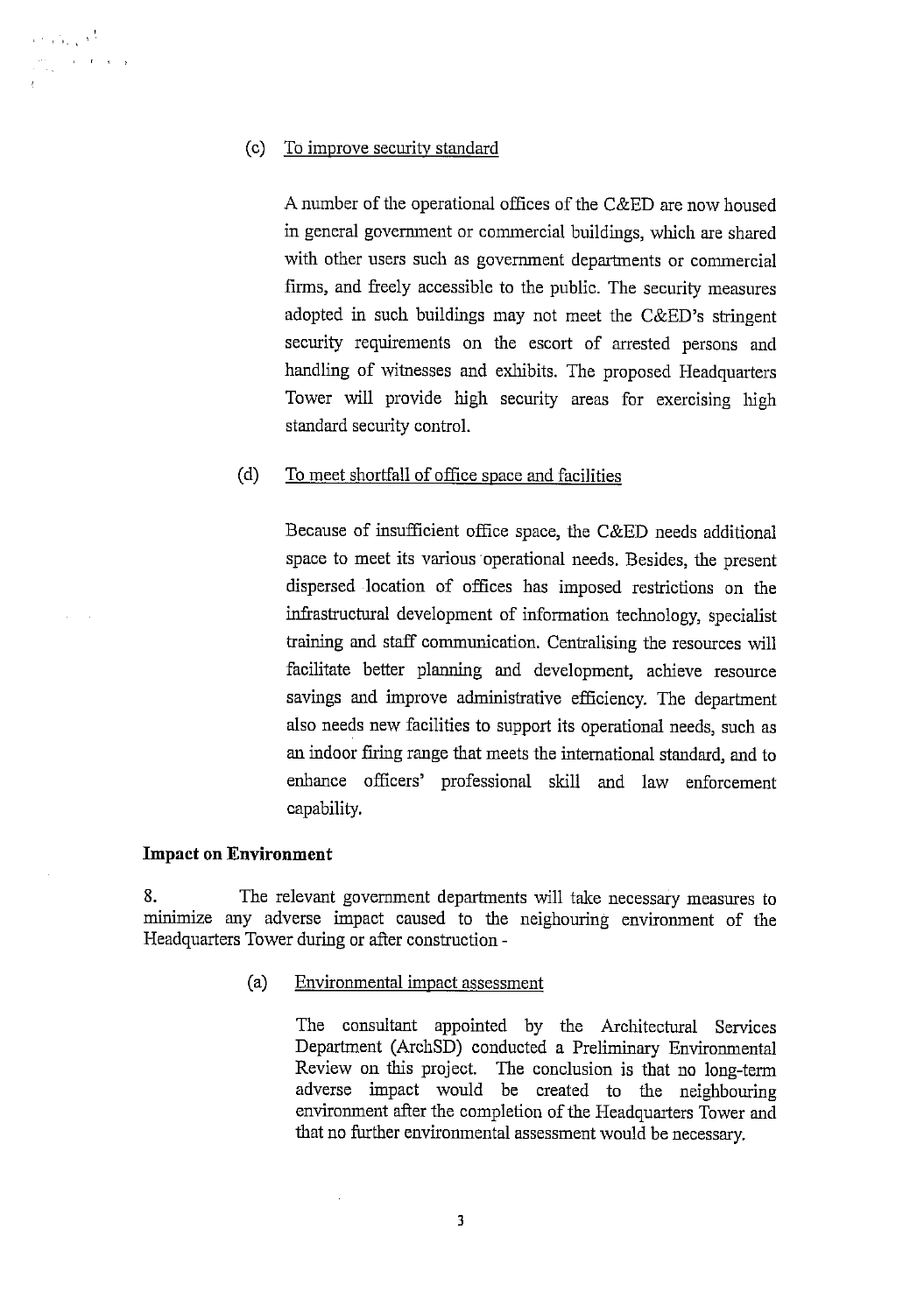#### $(c)$ To improve security standard

A number of the operational offices of the C&ED are now housed in general government or commercial buildings, which are shared with other users such as government departments or commercial firms, and freely accessible to the public. The security measures adopted in such buildings may not meet the C&ED's stringent security requirements on the escort of arrested persons and handling of witnesses and exhibits. The proposed Headquarters Tower will provide high security areas for exercising high standard security control.

#### $(d)$ To meet shortfall of office space and facilities

Because of insufficient office space, the C&ED needs additional space to meet its various operational needs. Besides, the present dispersed location of offices has imposed restrictions on the infrastructural development of information technology, specialist training and staff communication. Centralising the resources will facilitate better planning and development, achieve resource savings and improve administrative efficiency. The department also needs new facilities to support its operational needs, such as an indoor firing range that meets the international standard, and to enhance officers' professional skill and law enforcement capability.

#### **Impact on Environment**

8. The relevant government departments will take necessary measures to minimize any adverse impact caused to the neighouring environment of the Headquarters Tower during or after construction -

> $(a)$ Environmental impact assessment

> > The consultant appointed by the Architectural Services Department (ArchSD) conducted a Preliminary Environmental Review on this project. The conclusion is that no long-term adverse impact would be created to the neighbouring environment after the completion of the Headquarters Tower and that no further environmental assessment would be necessary.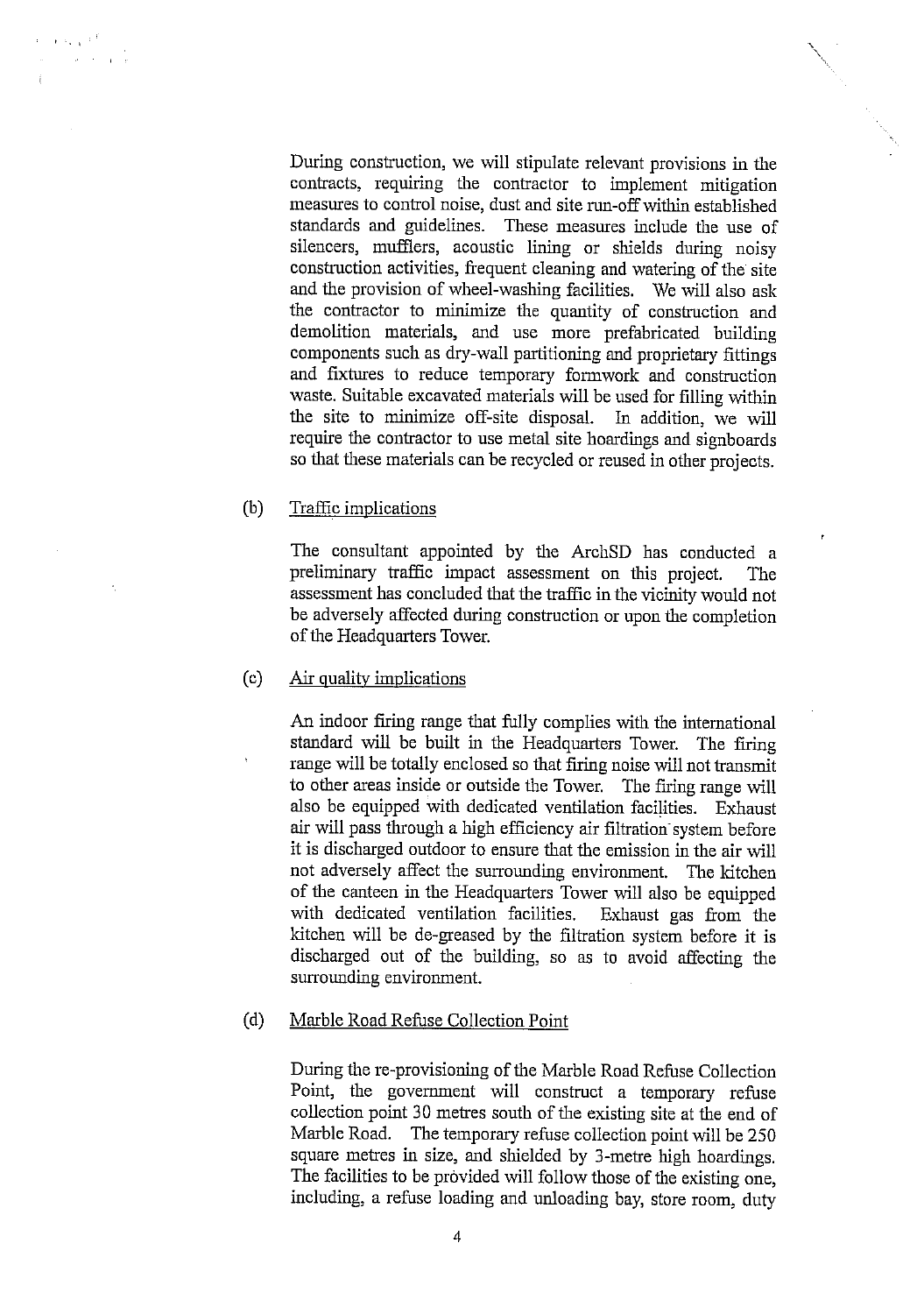$\mathbf{r}$  ,  $\mathbf{r}$  ,  $\mathbf{r}$  ,  $\mathbf{r}$  $\frac{1}{\sqrt{2}}$ 

> During construction, we will stipulate relevant provisions in the contracts, requiring the contractor to implement mitigation measures to control noise, dust and site run-off within established standards and guidelines. These measures include the use of silencers, mufflers, acoustic lining or shields during noisy construction activities, frequent cleaning and watering of the site and the provision of wheel-washing facilities. We will also ask the contractor to minimize the quantity of construction and demolition materials, and use more prefabricated building components such as dry-wall partitioning and proprietary fittings and fixtures to reduce temporary formwork and construction waste. Suitable excavated materials will be used for filling within the site to minimize off-site disposal. In addition, we will require the contractor to use metal site hoardings and signboards so that these materials can be recycled or reused in other projects.

#### $(b)$ Traffic implications

The consultant appointed by the ArchSD has conducted a preliminary traffic impact assessment on this project. The assessment has concluded that the traffic in the vicinity would not be adversely affected during construction or upon the completion of the Headquarters Tower.

#### $(c)$ Air quality implications

An indoor firing range that fully complies with the international standard will be built in the Headquarters Tower. The firing range will be totally enclosed so that firing noise will not transmit to other areas inside or outside the Tower. The firing range will also be equipped with dedicated ventilation facilities. Exhaust air will pass through a high efficiency air filtration system before it is discharged outdoor to ensure that the emission in the air will not adversely affect the surrounding environment. The kitchen of the canteen in the Headquarters Tower will also be equipped with dedicated ventilation facilities. Exhaust gas from the kitchen will be de-greased by the filtration system before it is discharged out of the building, so as to avoid affecting the surrounding environment.

#### $(d)$ Marble Road Refuse Collection Point

During the re-provisioning of the Marble Road Refuse Collection Point, the government will construct a temporary refuse collection point 30 metres south of the existing site at the end of Marble Road. The temporary refuse collection point will be 250 square metres in size, and shielded by 3-metre high hoardings. The facilities to be provided will follow those of the existing one, including, a refuse loading and unloading bay, store room, duty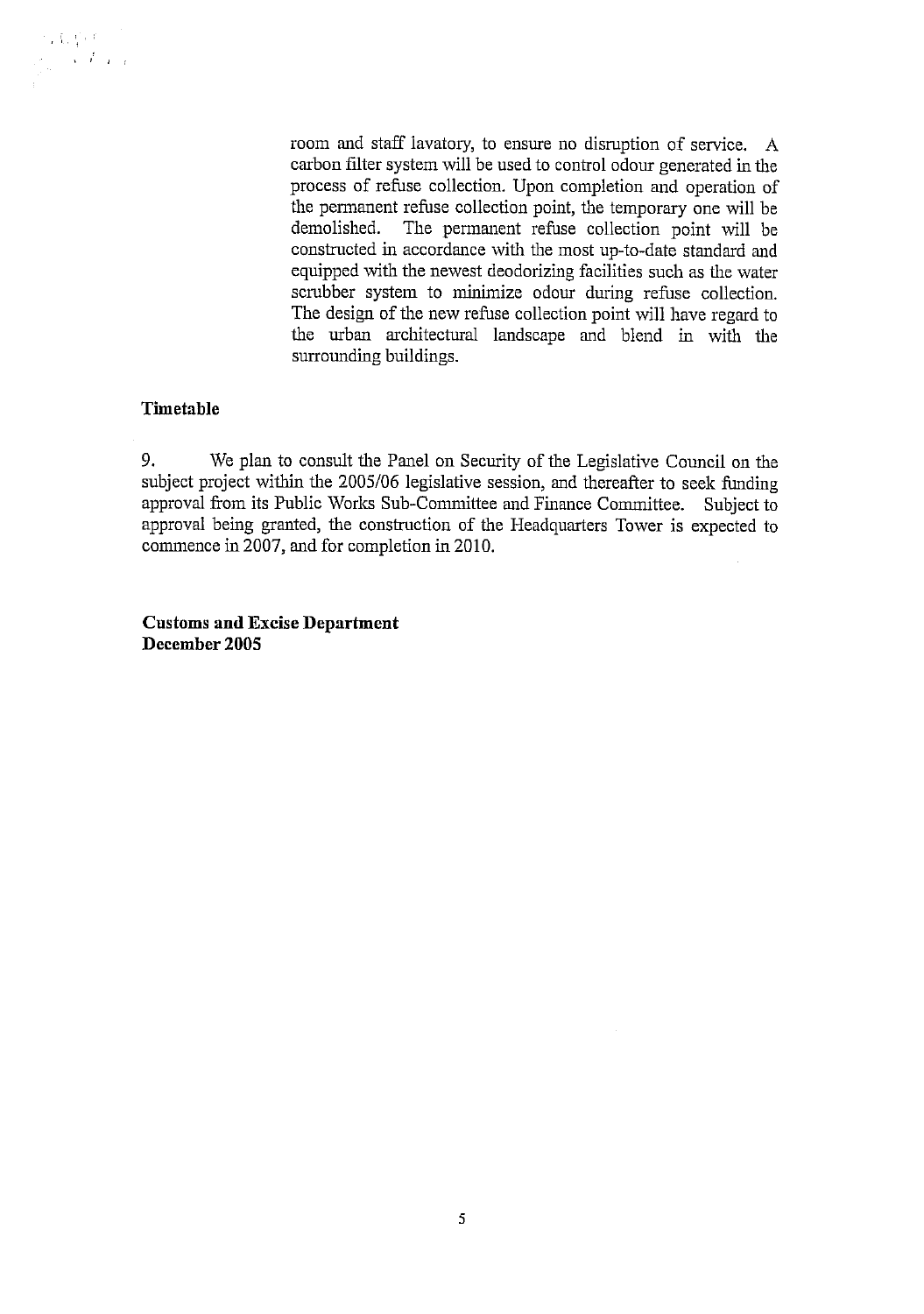

room and staff lavatory, to ensure no disruption of service. A carbon filter system will be used to control odour generated in the process of refuse collection. Upon completion and operation of the permanent refuse collection point, the temporary one will be demolished. The permanent refuse collection point will be constructed in accordance with the most up-to-date standard and equipped with the newest deodorizing facilities such as the water scrubber system to minimize odour during refuse collection. The design of the new refuse collection point will have regard to the urban architectural landscape and blend in with the surrounding buildings.

#### Timetable

9. We plan to consult the Panel on Security of the Legislative Council on the subject project within the 2005/06 legislative session, and thereafter to seek funding approval from its Public Works Sub-Committee and Finance Committee. Subject to approval being granted, the construction of the Headquarters Tower is expected to commence in 2007, and for completion in 2010.

**Customs and Excise Department** December 2005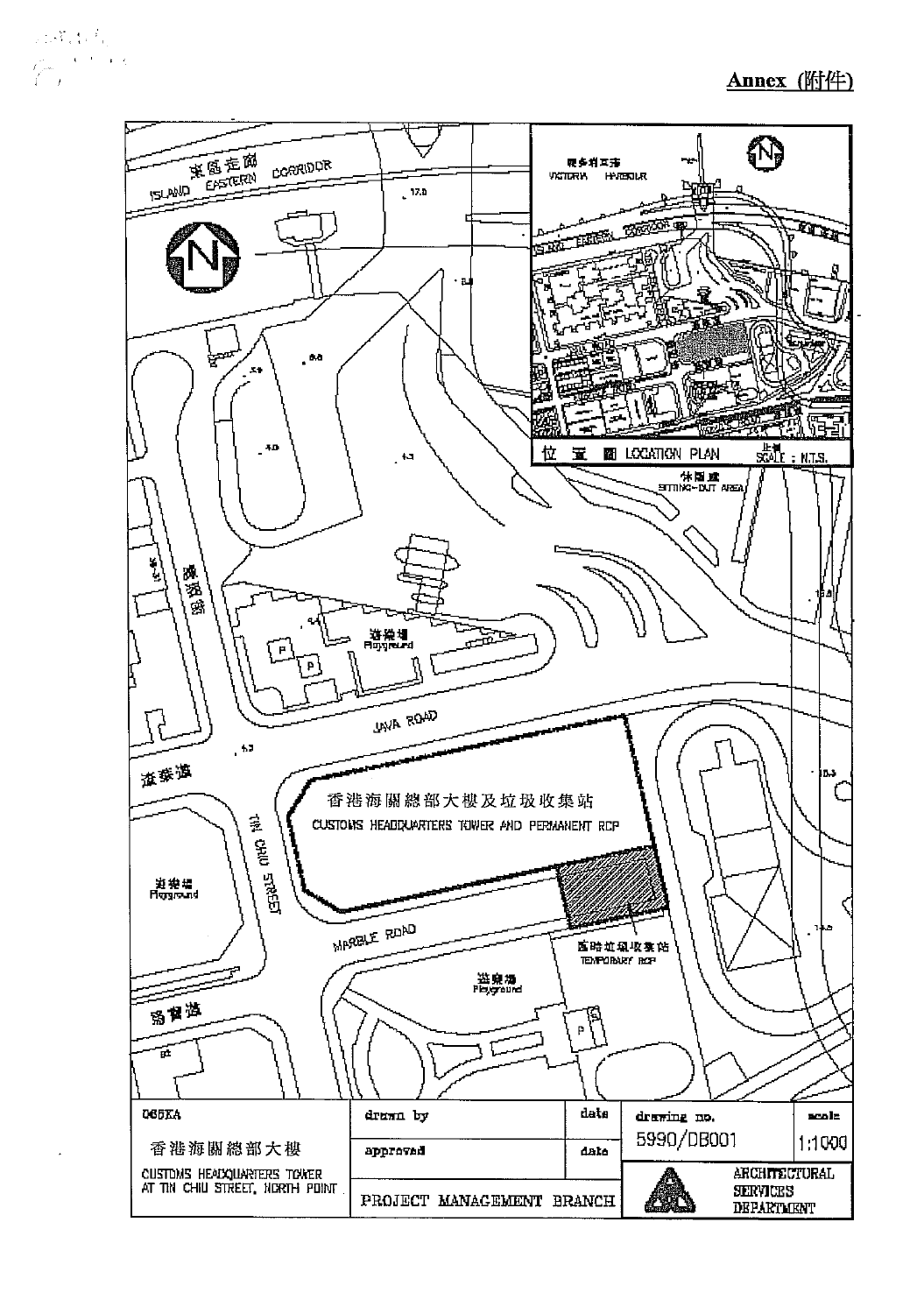218年4月  $\sum_{i=1}^N \frac{e^{-\frac{1}{2} \left( \frac{1}{2} \left( \frac{1}{2} \right) \right)}}{1 - \left( \frac{1}{2} \right)^2}$ 

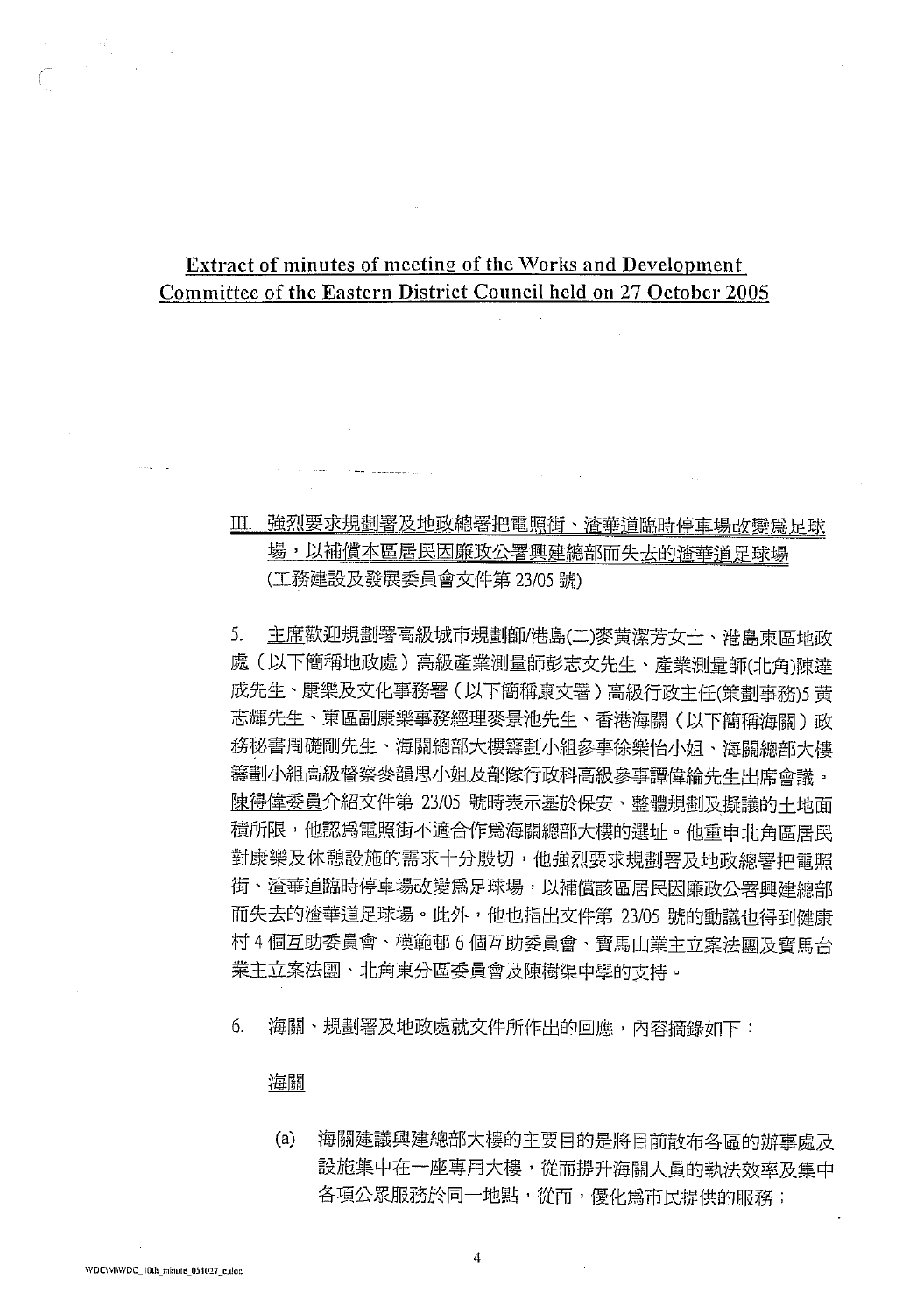## Extract of minutes of meeting of the Works and Development Committee of the Eastern District Council held on 27 October 2005

## Ⅲ. 強烈要求規劃署及地政總署把電照街、渣華道臨時停車場改變為足球 場,以補償本區居民因廉政公署興建總部而失去的渣華道足球場 (工務建設及發展委員會文件第23/05號)

主席歡迎規劃署高級城市規劃師/港島(二)麥黄潔芳女士、港島東區地政 5. 處(以下簡稱地政處)高級產業測量師彭志文先生、產業測量師(北角)陳達 成先生、康樂及文化事務署(以下簡稱康文署)高級行政主任(策劃事務)5黃 志輝先生、東區副康樂事務經理麥景池先生、香港海關(以下簡稱海關)政 務秘書周礎剛先生、海關總部大樓籌劃小組參事徐樂怡小姐、海關總部大樓 籌劃小組高級督察麥韻思小姐及部隊行政科高級參事譚偉綸先生出席會議。 陳得偉委員介紹文件第 23/05 號時表示基於保安、整體規劃及擬議的土地面 積所限,他認爲電照街不適合作爲海關總部大樓的選址。他重申北角區居民 對康樂及休憩設施的需求十分殷切,他強烈要求規劃署及地政總署把電照 街、渣華道臨時停車場改變為足球場,以補償該區居民因廉政公署興建總部 而失去的渣華道足球場。此外,他也指出文件第 23/05 號的動議也得到健康 村4個互助委員會、模範邨6個互助委員會、寶馬山業主立案法團及寶馬台 業主立案法團、北角東分區委員會及陳樹渠中學的支持。

海關、規劃署及地政處就文件所作出的回應,內容摘錄如下: 6.

#### 海關

海關建議興建總部大樓的主要目的是將目前散布各區的辦事處及  $(a)$ 設施集中在一座專用大樓,從而提升海關人員的執法效率及集中 各項公眾服務於同一地點,從而,優化為市民提供的服務;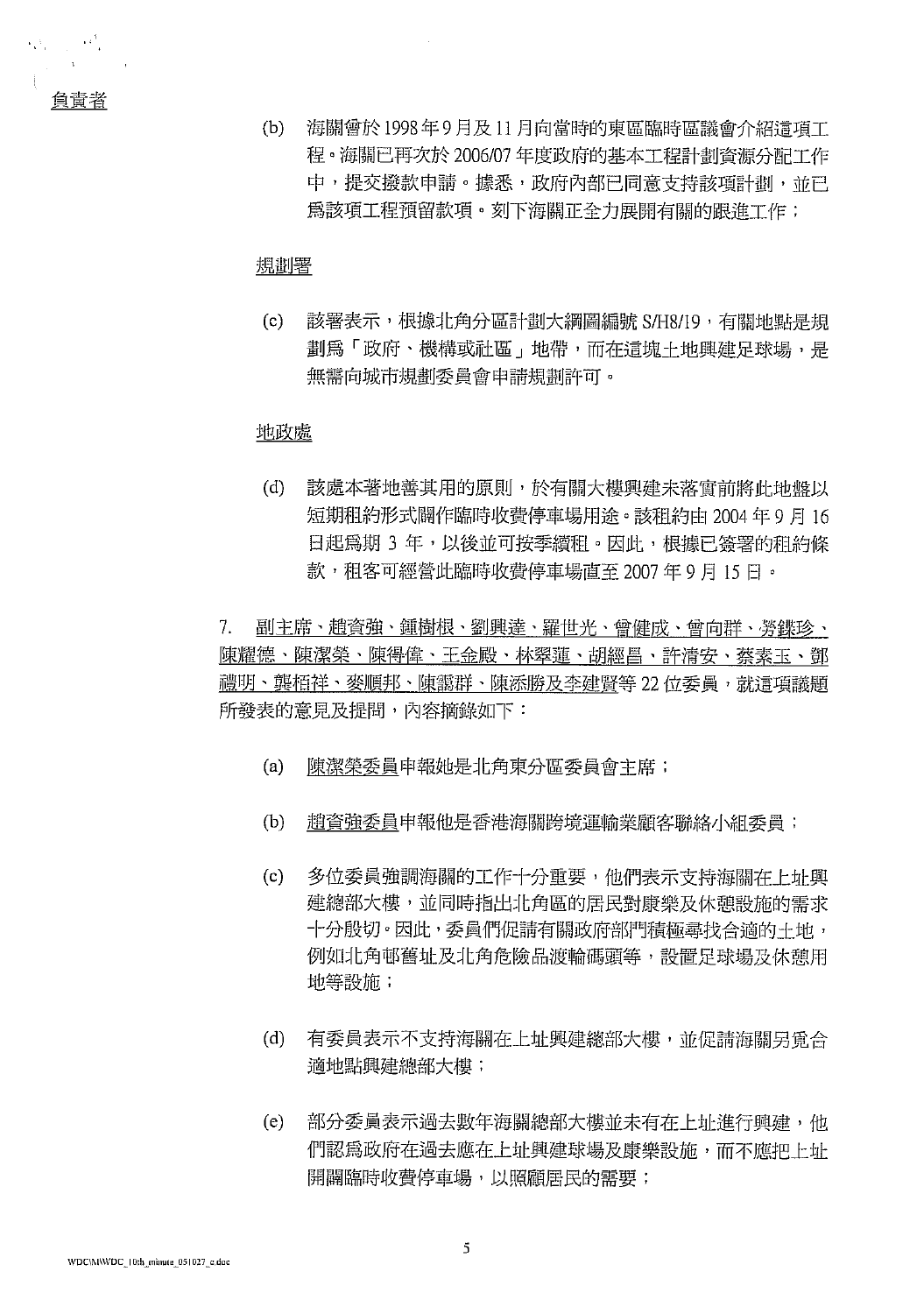Maria Ma

Ť

 $(b)$ 海關曾於1998年9月及11月向當時的東區臨時區議會介紹這項工 程。海關已再次於2006/07年度政府的基本工程計劃資源分配工作 中,提交撥款申請。據悉,政府內部已同意支持該項計劃,並已 爲該項工程預留款項。刻下海關正全力展開有關的跟進工作;

#### 規劃署

該署表示,根據北角分區計劃大綱圖編號 S/H8/19,有關地點是規  $(c)$ 劃為「政府、機構或社區」地帶,而在這塊土地興建足球場,是 無需向城市規劃委員會申請規劃許可。

#### 地政處

 $(d)$ 該處本著地善其用的原則,於有關大樓興建未落實前將此地盤以 短期租約形式闢作臨時收費停車場用涂。該租約由2004年9月16 日起為期 3 年,以後並可按季續租。因此,根據已簽署的租約條 款,租客可經營此臨時收費停車場直至 2007 年 9 月 15 日。

7. 副主席、趙資強、鍾樹根、劉興達、羅世光、曾健成、曾向群、勞鍱珍、 陳耀德、陳潔榮、陳得偉、王金殿、林翠蓮、胡經昌、許清安、蔡素玉、鄧 禮明、龔栢祥、麥順邦、陳靄群、陳添勝及李建賢等 22 位委員,就這項議題 所發表的意見及提問,內容摘錄如下:

- $(a)$ 陳潔榮委員申報她是北角東分區委員會主席;
- $(b)$ 趙資強委員申報他是香港海關跨境運輸業顧客聯絡小組委員;
- 多位委員強調海關的工作十分重要,他們表示支持海關在上址興  $(c)$ 建總部大樓,並同時指出北角區的居民對康樂及休憩設施的需求 十分殷切。因此,委員們促請有關政府部門積極尋找合適的土地, 例如北角邨舊址及北角危險品渡輪碼頭等,設置足球場及休憩用 地等設施;
- $(d)$ 有委員表示不支持海關在上址興建總部大樓,並促請海關另覓合 適地點興建總部大樓;
- $(e)$ 部分委員表示過去數年海關總部大樓並未有在上址進行興建,他 們認為政府在過去應在上址興建球場及康樂設施,而不應把上址 開闢臨時收費停車場,以照顧居民的需要;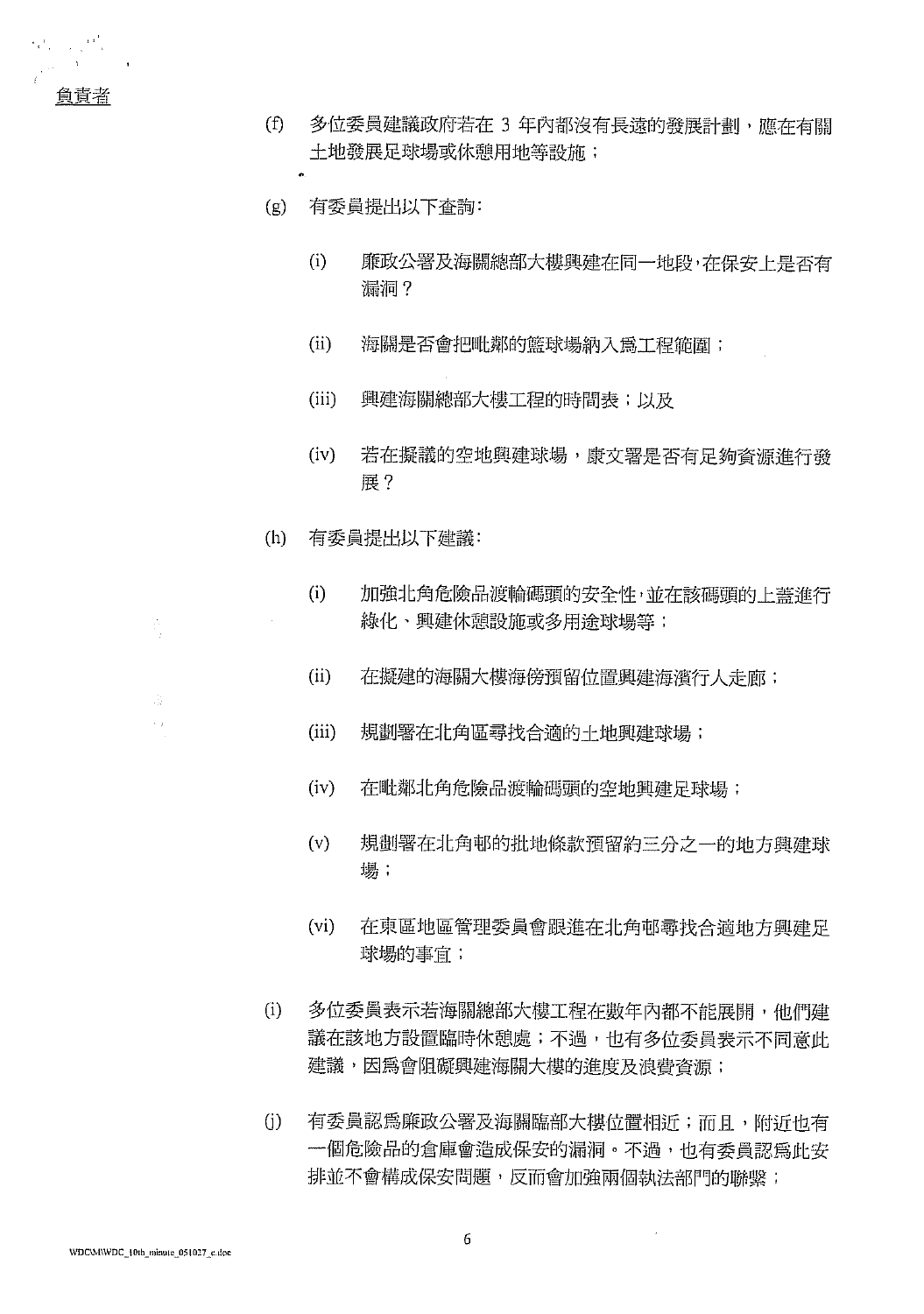

 $\mathcal{O}_{\mathcal{A}}=\mathcal{O}_{\mathcal{A}}\left(\frac{1}{2}\right)$ 

- $(f)$ 多位委員建議政府若在 3 年內都沒有長遠的發展計劃, 應在有關 土地發展足球場或休憩用地等設施;
- $(g)$ 有委員提出以下査詢:
	- $(i)$ 廉政公署及海關總部大樓興建在同一地段,在保安上是否有 漏洞?
	- $(ii)$ 海關是否會把毗鄰的籃球場納入為工程範圍;
	- 興建海關總部大樓工程的時間表;以及  $(iii)$
	- $(iv)$ 若在擬議的空地興建球場,康文署是否有足夠資源淮行發 展?
- $(h)$ 有委員提出以下建議:
	- $(i)$ 加強北角危險品渡輸碼頭的安全性,並在該碼頭的上蓋進行 綠化、興建休憩設施或多用途球場等;
	- $(ii)$ 在擬建的海關大樓海傍預留位置興建海濱行人走廊;
	- $(iii)$ 規劃署在北角區尋找合適的土地興建球場;
	- $(iv)$ 在毗鄰北角危險品渡輪碼頭的空地興建足球場;
	- $(v)$ 規劃署在北角邨的批地條款預留約三分之一的地方興建球 場:
	- $(vi)$ 在東區地區管理委員會跟進在北角邨尋找合適地方興建足 球場的事官;
- $(i)$ 多位委員表示若海關總部大樓工程在數年內都不能展開,他們建 議在該地方設置臨時休憩處;不過,也有多位委員表示不同意此 建議,因為會阻礙興建海關大樓的進度及浪費資源;
- $(i)$ 有委員認爲廉政公署及海關臨部大樓位置相沂;而且,附沂也有 一個危險品的倉庫會造成保安的漏洞。不過,也有委員認爲此安 排並不會構成保安問題,反而會加強兩個執法部門的聯繫;

A,

ŵ  $\hat{\epsilon}_{\rm eff}$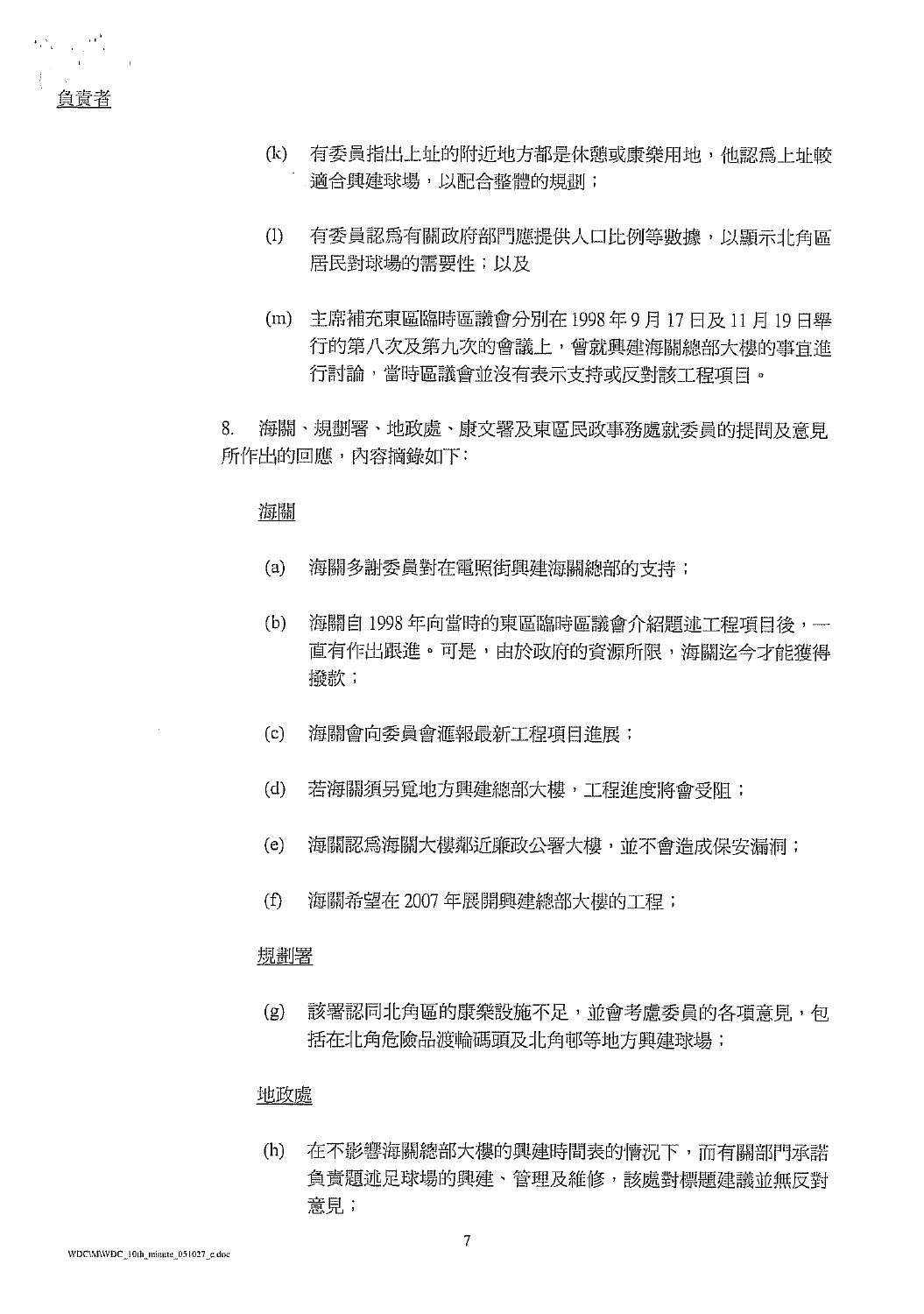

- (k) 有委員指出上址的附近地方都是休憩或康樂用地,他認為上址較 適合興建球場,以配合整體的規劃;
- 有委員認爲有關政府部門應提供人口比例等數據,以顯示北角區  $(1)$ 居民對球場的需要性;以及
- (m) 主席補充東區臨時區議會分別在 1998年9月17日及11月19日舉 行的第八次及第九次的會議上,曾就興建海關總部大樓的事宜進 行討論,當時區議會並沒有表示支持或反對該工程項目。

8. 海關、規劃署、地政處、康文署及東區民政事務處就委員的提問及意見 所作出的回應,內容摘錄如下:

#### 海關

- $(a)$ 海關多謝委員對在電照街興建海關總部的支持:
- $(b)$ 海關自 1998年向當時的東區臨時區議會介紹題述工程項曰後, -直有作出跟進。可是,由於政府的資源所限,海關迄今才能獲得 撥款;
- 海關會向委員會滙報最新工程項目淮展;  $(c)$
- $(d)$ 若海關須另覓地方興建總部大樓,工程進度將會受阳;
- $(e)$ 海關認為海關大樓鄰近廉政公署大樓,並不會造成保安漏洞;
- $(f)$ 海關希望在2007年展開興建總部大樓的工程;

#### 規劃署

該署認同北角區的康樂設施不足,並會考慮委員的各項意見,包  $(g)$ 括在北角危險品渡輪碼頭及北角邨等地方興建球場;

#### 地政處

在不影響海關總部大樓的興建時間表的情況下,而有關部門承諾  $(h)$ 負責題述足球場的興建、管理及維修,該處對標題建議並無反對 意見;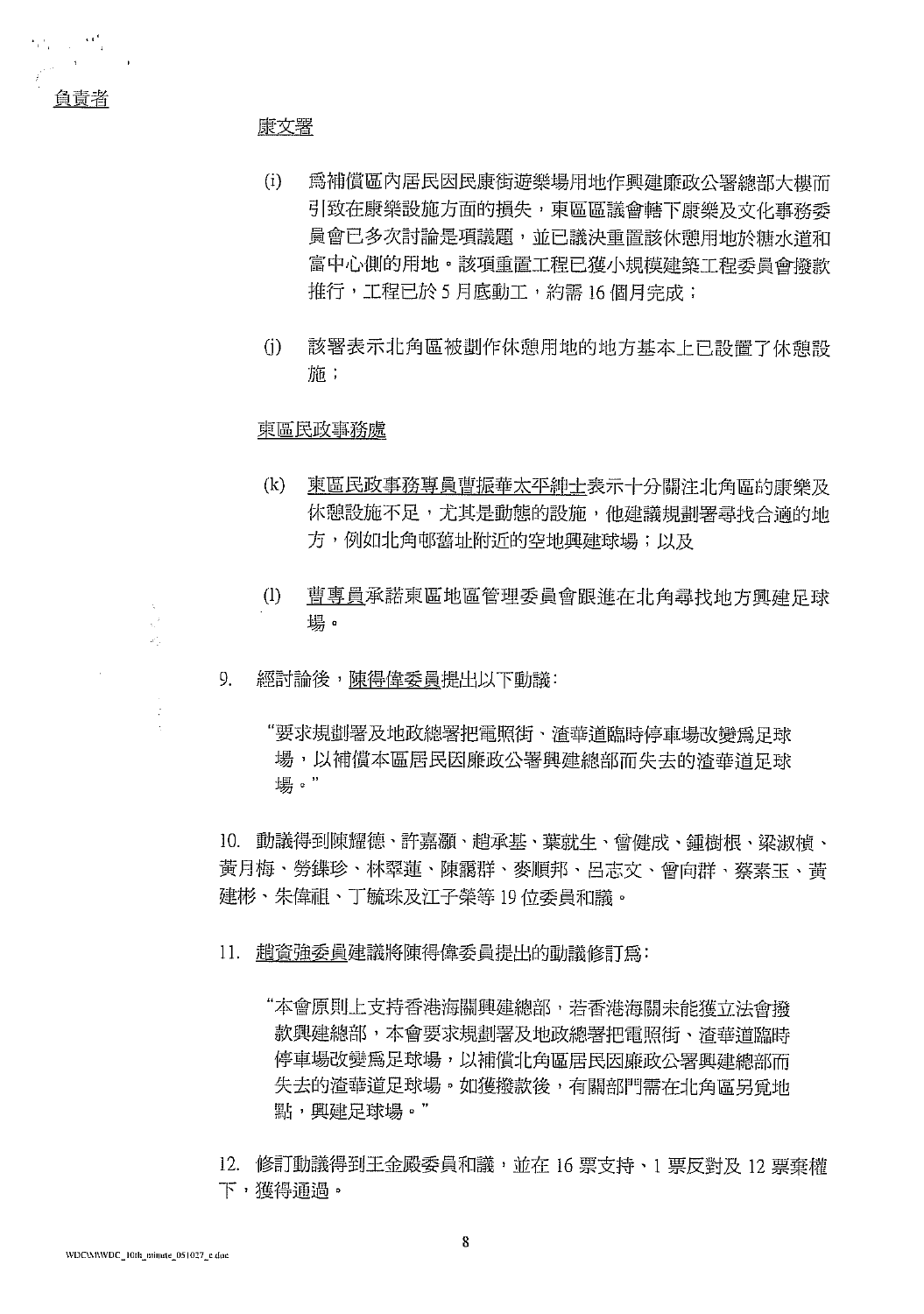康文署

 $\mathcal{O}_{\mathcal{A}}$  , and  $\mathcal{O}_{\mathcal{A}}$ 

負責者

- $(i)$ 爲補償區內居民因民康街遊樂場用地作興建廉政公署總部大樓而 引致在康樂設施方面的損失,東區區議會轄下康樂及文化事務委 員會已多次討論是項議題,並已議決重置該休憩用地於糖水道和 富中心側的用地。該項重置工程已獲小規模建築工程委員會撥款 推行,工程已於 5 月底動工,約需 16 個月完成;
- $(i)$ 該署表示北角區被劃作休憩用地的地方基本上已設置了休憩設 施:

#### 東區民政事務處

- 東區民政事務專員曹振華太平紳士表示十分關注北角區的康樂及  $(k)$ 休憩設施不足,尤其是動態的設施,他建議規劃署尋找合適的地 方,例如北角邨舊址附近的空地興建球場;以及
- $(1)$ 曹專員承諾東區地區管理委員會跟進在北角尋找地方興建足球 場。
- 9. 經討論後,陳得偉委員提出以下動議:
	- "要求規劃署及地政總署把電照街、渣華道臨時停車場改變為足球 場,以補償本區居民因廉政公署興建總部而失去的渣華道足球 場。"

10. 動議得到陳耀德、許嘉灝、趙承基、葉就生、曾健成、鍾樹根、梁淑楨、 黃月梅、勞鍱珍、林翠蓮、陳靄群、麥順邦、呂志文、曾向群、蔡素玉、黃 建彬、朱偉祖、丁毓珠及江子榮等 19 位委員和議。

- 11. 趙資強委員建議將陳得偉委員提出的動議修訂爲:
	- "本會原則上支持香港海關興建總部,若香港海關未能獲立法會撥 款興建總部,本會要求規劃署及地政總署把電照街、渣華道臨時 停車場改變為足球場,以補償北角區居民因廉政公署興建總部而 失去的渣華道足球場。如獲撥款後,有關部門需在北角區另覓地 點, 興建足球場。"
- 12. 修訂動議得到王金殿委員和議,並在 16 票支持、1 票反對及 12 票棄權 下,獲得通過。

 $\mathbb{I}$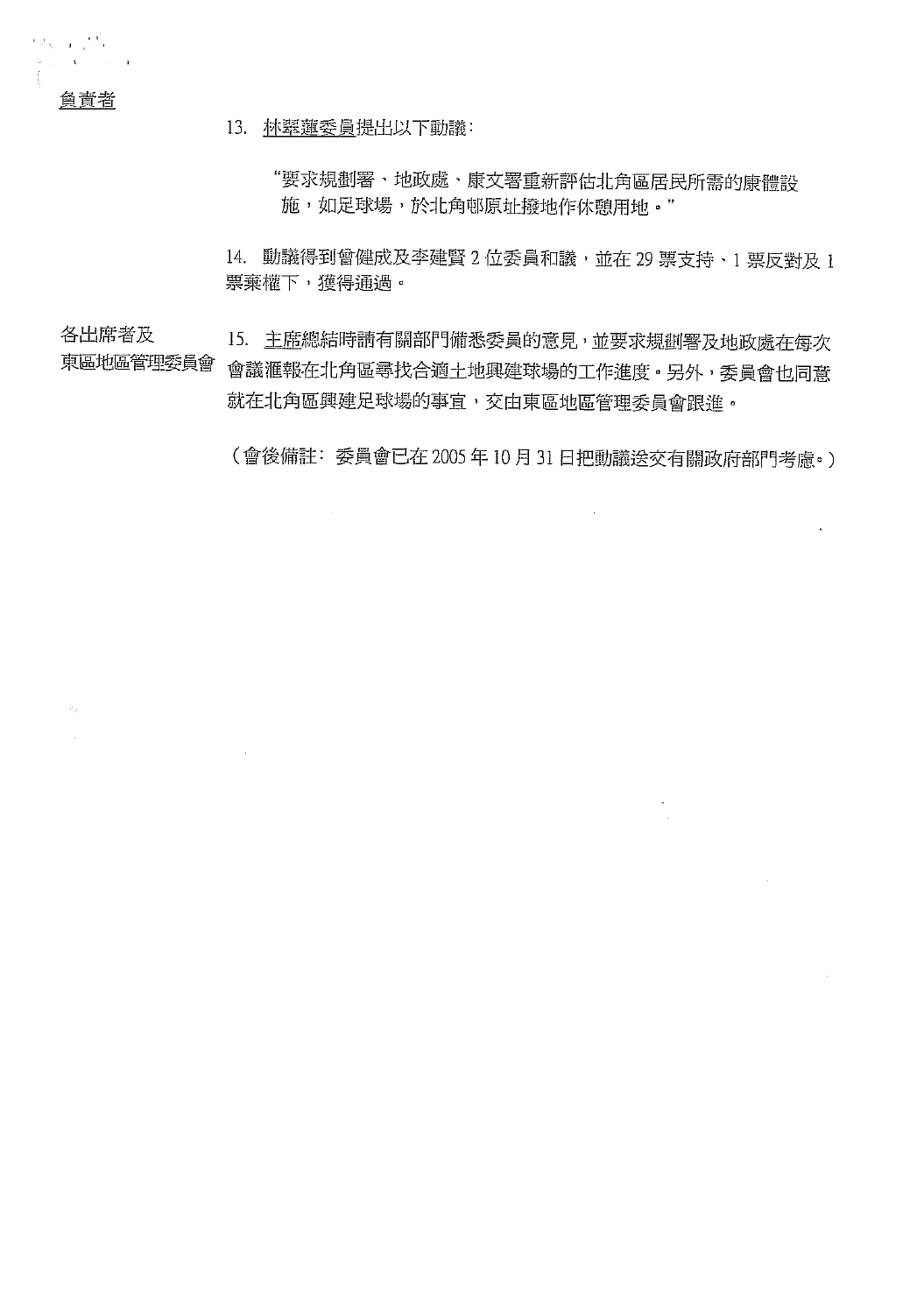負責者

**Report Follows** 

13. 林翠蓮委員提出以下動議:

"要求規劃署、地政處、康文署重新評估北角區居民所需的康體設 施,如足球場,於北角邨原址撥地作休憩用地。"

14. 動議得到曾健成及李建賢 2 位委員和議,並在 29 票支持, 1 票反對及 1 票棄權下,獲得通過。

各出席者及 15. 主鹿總結時請有關部門備悉委員的意見,並要求規劃署及地政處在每次 東區地區管理委員會 會議滙報在北角區尋找合適土地興建球場的工作進度。另外,委員會也同意 就在北角區興建足球場的事宜,交由東區地區管理委員會跟進。

(會後備註: 委員會已在 2005年10月31日把動議送交有關政府部門考慮。)

 $\bar{z}$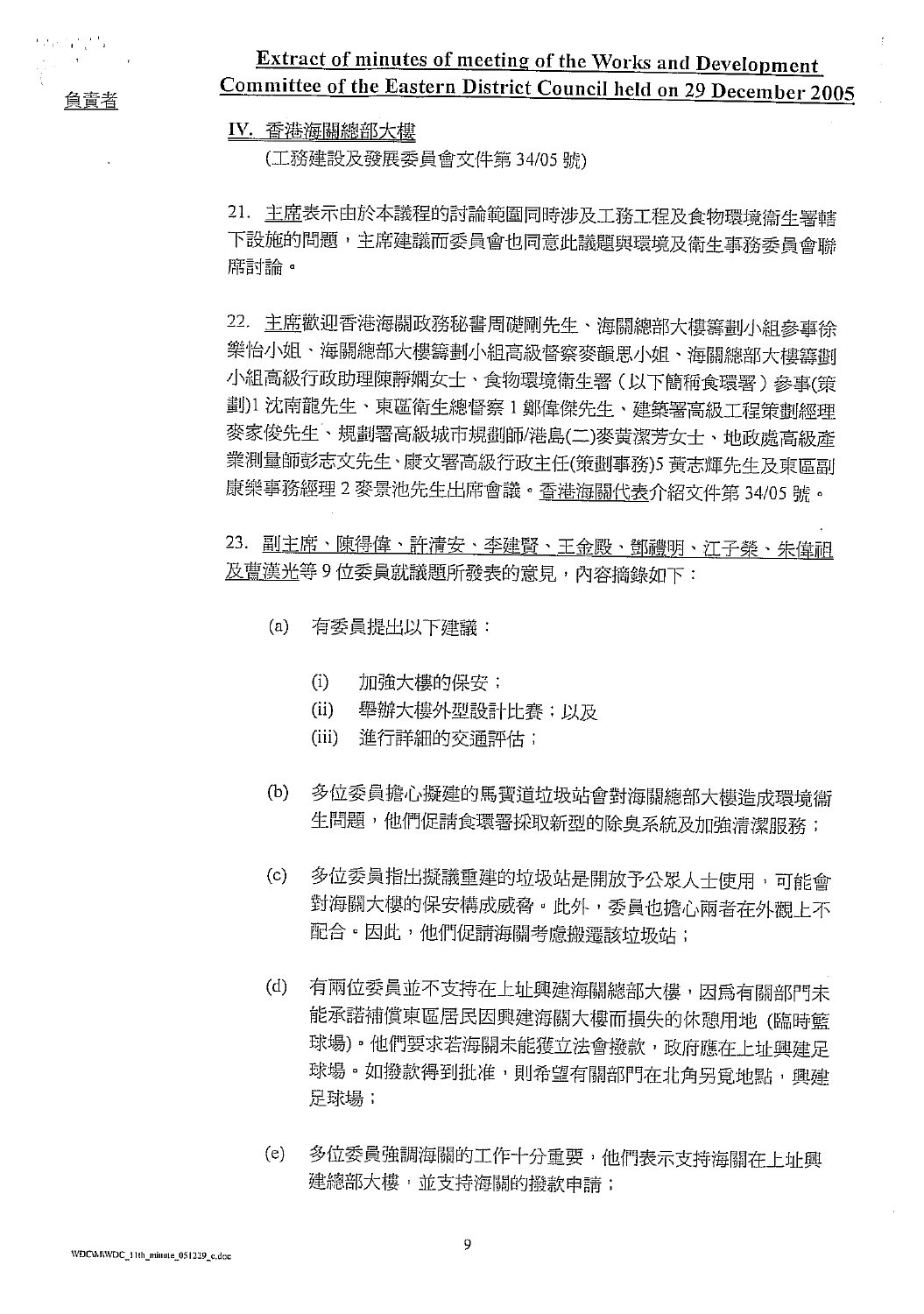負責者

化四氯乙

## Extract of minutes of meeting of the Works and Development Committee of the Eastern District Council held on 29 December 2005

#### IV. 香港海關總部大樓

(工務建設及發展委員會文件第34/05號)

21. 主席表示由於本議程的討論範圍同時涉及工務工程及食物環境衞生署轄 下設施的問題,主席建議而委員會也同意此議題與環境及衛生事務委員會聯 席討論。

22. 主鹿歡迎香港海關政務秘書周礎剛先生、海關總部大樓籌劃小組參事徐 樂怡小姐、海關總部大樓籌劃小組高級督察麥韻思小姐、海關總部大樓籌劃 小組高級行政助理陳靜嫻女士、食物環境衛生署(以下簡稱食環署)參事(策 劃)1沈南龍先生、東區衛生總督察1鄭偉傑先生、建築署高級工程策劃經理 麥家俊先生、規劃署高級城市規劃師/港島(二)麥黄潔芳女士、地政處高級產 業測量師彭志文先生、康文署高級行政主任(策劃事務)5 黃志輝先生及東區副 康樂事務經理2麥景池先生出席會議。查港海關代表介紹文件第34/05號。

23. 副主席、陳得偉、許清安、李建賢、王金殿、鄧禮明、江子榮、朱偉祖 及曹漢光等9位委員就議題所發表的意見,內容摘錄如下:

- $(a)$ 有委員提出以下建議:
	- $(i)$ 加強大樓的保安;
	- $(ii)$ 舉辦大樓外型設計比賽;以及
	- (iii) 進行詳細的交通評估;
- 多位委員擔心擬建的馬寶道垃圾站會對海關總部大樓造成環境衞  $(b)$ 生問題,他們促請食環署採取新型的除臭系統及加強清潔服務;
- 多位委員指出擬議重建的垃圾站是開放予公眾人士使用,可能會  $(c)$ 對海關大樓的保安構成威脅。此外,委員也擔心兩者在外觀上不 配合。因此,他們促請海關考慮搬遷該垃圾站;
- 有兩位委員並不支持在上址興建海關總部大樓,因爲有關部門未  $(d)$ 能承諾補償東區居民因興建海關大樓而損失的休憩用地 (臨時籃 球場)。他們要求若海關未能獲立法會撥款,政府應在上址興建足 球場。如撥款得到批准,則希望有關部門在北角另覓地點,興建 足球場;
- 多位委員強調海關的工作十分重要,他們表示支持海關在上址興  $(e)$ 建總部大樓,並支持海關的撥款申請;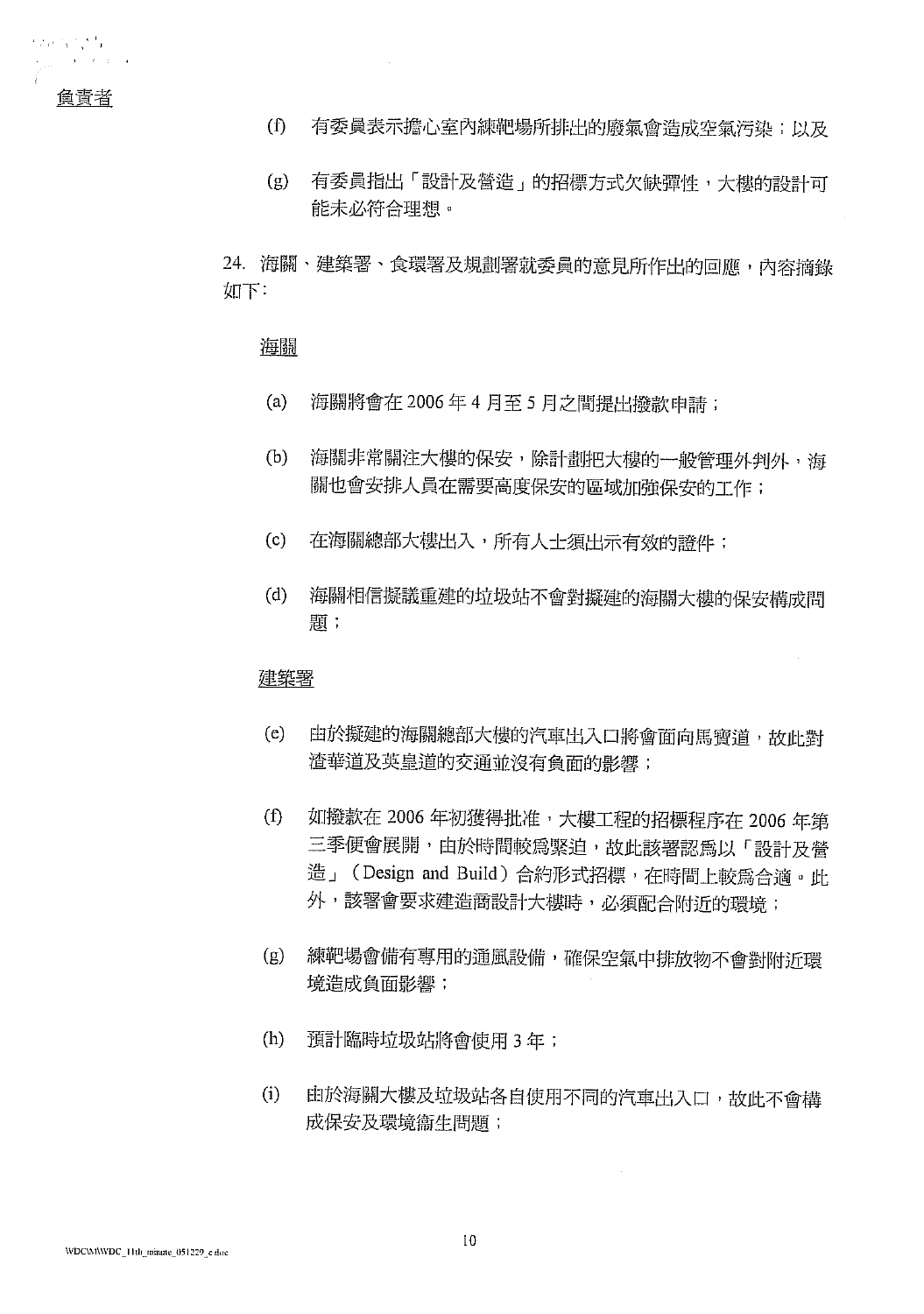- 有委員表示擔心室內練靶場所排出的廢氣會造成空氣污染;以及  $\mathbb{f}$
- (g) 有委員指出「設計及營造」的招標方式欠缺彈性,大樓的設計可 能未必符合理想。

24. 海關、建築署、食環署及規劃署就委員的意見所作出的回應,內容摘錄 如下:

#### 海關

- 海關將會在 2006年4月至5月之間提出撥款申請;  $(a)$
- 海關非常關注大樓的保安,除計劃把大樓的一般管理外判外,海  $(b)$ 關也會安排人員在需要高度保安的區域加強保安的工作;
- 在海關總部大樓出入,所有人士須出示有效的證件;  $(c)$
- $(d)$ 海關相信擬議重建的垃圾站不會對擬建的海關大樓的保安構成問 題;

 $\tilde{\mathcal{A}}$ 

#### 建築署

- 由於擬建的海關總部大樓的汽車出入口將會面向馬寶道,故此對  $(e)$ 渣華道及英皇道的交通並沒有負面的影響;
- $(f)$ 如撥款在 2006年初獲得批准,大樓工程的招標程序在 2006年第 三季便會展開,由於時間較為緊迫,故此該署認爲以「設計及營 造」(Design and Build) 合約形式招標,在時間上較爲合適。此 外,該署會要求建造商設計大樓時,必須配合附近的環境;
- 練靶場會備有專用的通風設備,確保空氣中排放物不會對附近環  $(g)$ 境造成負面影響;
- $(h)$ 預計臨時垃圾站將會使用3年;
- $(i)$ 由於海關大樓及垃圾站各自使用不同的汽車出入口,故此不會構 成保安及環境衞生問題;